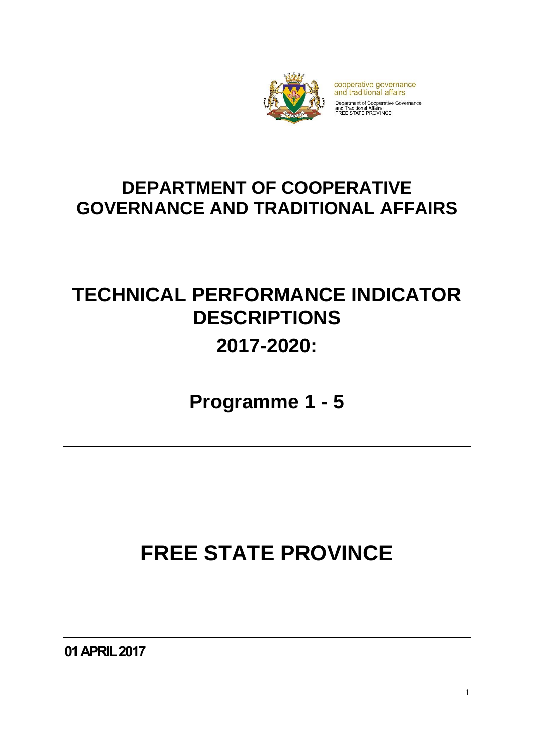

cooperative governance and traditional affairs Department of Cooperative Governance<br>and Traditional Affairs<br>FREE STATE PROVINCE

### **DEPARTMENT OF COOPERATIVE GOVERNANCE AND TRADITIONAL AFFAIRS**

## **TECHNICAL PERFORMANCE INDICATOR DESCRIPTIONS 2017-2020:**

**Programme 1 - 5**

# **FREE STATE PROVINCE**

**01 APRIL 2017**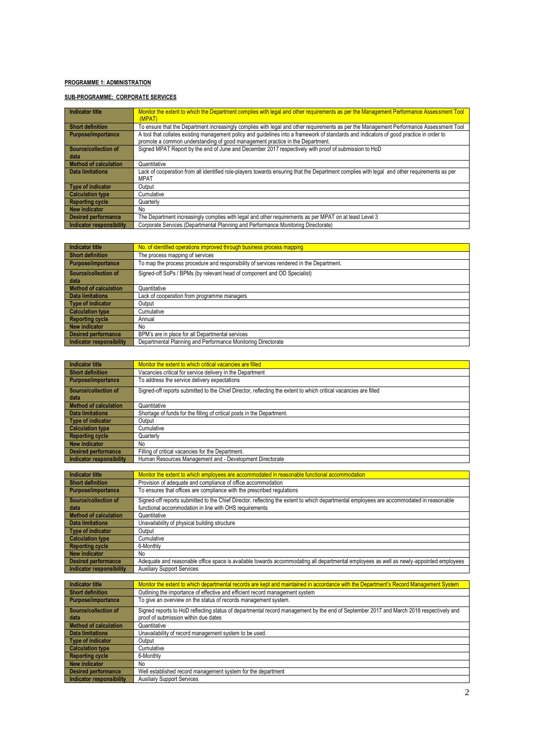#### **PROGRAMME 1: ADMINISTRATION**

#### **SUB-PROGRAMME: CORPORATE SERVICES**

| Indicator title            | Monitor the extent to which the Department complies with legal and other requirements as per the Management Performance Assessment Tool<br>(MPAT) |
|----------------------------|---------------------------------------------------------------------------------------------------------------------------------------------------|
| <b>Short definition</b>    | To ensure that the Department increasingly complies with legal and other requirements as per the Management Performance Assessment Tool           |
| Purpose/importance         | A tool that collates existing management policy and guidelines into a framework of standards and indicators of good practice in order to          |
|                            | promote a common understanding of good management practice in the Department.                                                                     |
| Source/collection of       | Signed MPAT Report by the end of June and December 2017 respectively with proof of submission to HoD                                              |
| data                       |                                                                                                                                                   |
| Method of calculation      | Quantitative                                                                                                                                      |
| Data limitations           | Lack of cooperation from all identified role-players towards ensuring that the Department complies with legal and other requirements as per       |
|                            | <b>MPAT</b>                                                                                                                                       |
| Type of indicator          | Output                                                                                                                                            |
| <b>Calculation type</b>    | Cumulative                                                                                                                                        |
| <b>Reporting cycle</b>     | Quarterly                                                                                                                                         |
| New indicator              | No                                                                                                                                                |
| <b>Desired performance</b> | The Department increasingly complies with legal and other requirements as per MPAT on at least Level 3                                            |
| Indicator responsibility   | Corporate Services (Departmental Planning and Performance Monitoring Directorate)                                                                 |

| <b>Indicator title</b>          | No. of identified operations improved through business process mapping                  |
|---------------------------------|-----------------------------------------------------------------------------------------|
| <b>Short definition</b>         | The process mapping of services                                                         |
| <b>Purpose/importance</b>       | To map the process procedure and responsibility of services rendered in the Department. |
| Source/collection of            | Signed-off SoPs / BPMs (by relevant head of component and OD Specialist)                |
| data                            |                                                                                         |
| <b>Method of calculation</b>    | Quantitative                                                                            |
| Data limitations                | Lack of cooperation from programme managers                                             |
| <b>Type of indicator</b>        | Output                                                                                  |
| <b>Calculation type</b>         | Cumulative                                                                              |
| <b>Reporting cycle</b>          | Annual                                                                                  |
| <b>New indicator</b>            | No.                                                                                     |
| <b>Desired performance</b>      | BPM's are in place for all Departmental services                                        |
| <b>Indicator responsibility</b> | Departmental Planning and Performance Monitoring Directorate                            |

| Indicator title              | Monitor the extent to which critical vacancies are filled                                                        |
|------------------------------|------------------------------------------------------------------------------------------------------------------|
| <b>Short definition</b>      | Vacancies critical for service delivery in the Department                                                        |
| Purpose/importance           | To address the service delivery expectations                                                                     |
| Source/collection of<br>data | Signed-off reports submitted to the Chief Director, reflecting the extent to which critical vacancies are filled |
| <b>Method of calculation</b> | Quantitative                                                                                                     |
| Data limitations             | Shortage of funds for the filling of critical posts in the Department.                                           |
| Type of indicator            | Output                                                                                                           |
| <b>Calculation type</b>      | Cumulative                                                                                                       |
| <b>Reporting cycle</b>       | Quarterly                                                                                                        |
| New indicator                | No                                                                                                               |
| <b>Desired performance</b>   | Filling of critical vacancies for the Department.                                                                |
| Indicator responsibility     | Human Resources Management and - Development Directorate                                                         |

| Indicator title              | Monitor the extent to which employees are accommodated in reasonable functional accommodation                                            |
|------------------------------|------------------------------------------------------------------------------------------------------------------------------------------|
| <b>Short definition</b>      | Provision of adequate and compliance of office accommodation                                                                             |
| <b>Purpose/importance</b>    | To ensures that offices are compliance with the prescribed regulations                                                                   |
| Source/collection of         | Signed-off reports submitted to the Chief Director, reflecting the extent to which departmental employees are accommodated in reasonable |
| data                         | functional accommodation in line with OHS requirements                                                                                   |
| <b>Method of calculation</b> | Quantitative                                                                                                                             |
| Data limitations             | Unavailability of physical building structure                                                                                            |
| <b>Type of indicator</b>     | Output                                                                                                                                   |
| <b>Calculation type</b>      | Cumulative                                                                                                                               |
| <b>Reporting cycle</b>       | 6-Monthly                                                                                                                                |
| <b>New indicator</b>         | No                                                                                                                                       |
| <b>Desired performance</b>   | Adequate and reasonable office space is available towards accommodating all departmental employees as well as newly-appointed employees  |
| Indicator responsibility     | <b>Auxiliary Support Services</b>                                                                                                        |
|                              |                                                                                                                                          |

| Indicator title            | Monitor the extent to which departmental records are kept and maintained in accordance with the Department's Record Management System  |
|----------------------------|----------------------------------------------------------------------------------------------------------------------------------------|
| <b>Short definition</b>    | Outlining the importance of effective and efficient record management system                                                           |
| Purpose/importance         | To give an overview on the status of records management system.                                                                        |
| Source/collection of       | Signed reports to HoD reflecting status of departmental record management by the end of September 2017 and March 2018 respectively and |
| data                       | proof of submission within due dates                                                                                                   |
| Method of calculation      | Quantitative                                                                                                                           |
| <b>Data limitations</b>    | Unavailability of record management system to be used.                                                                                 |
| Type of indicator          | Output                                                                                                                                 |
| Calculation type           | Cumulative                                                                                                                             |
| <b>Reporting cycle</b>     | 6-Monthly                                                                                                                              |
| New indicator              | No                                                                                                                                     |
| <b>Desired performance</b> | Well established record management system for the department                                                                           |
| Indicator responsibility   | <b>Auxiliary Support Services</b>                                                                                                      |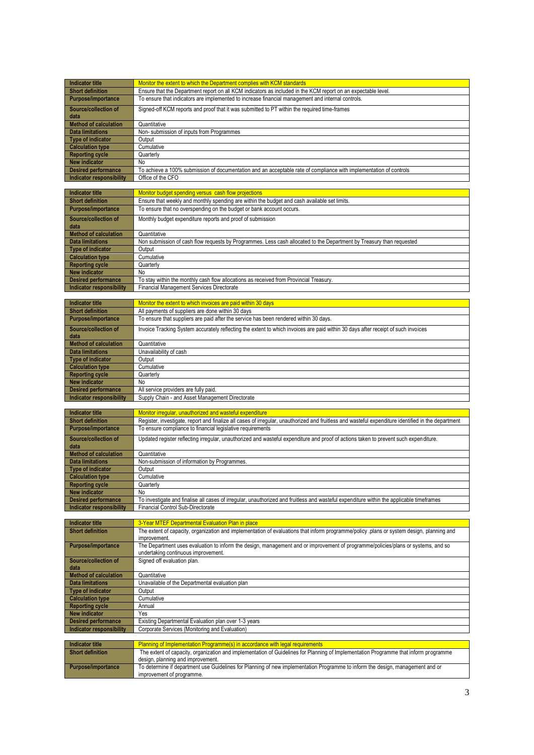| <b>Indicator title</b>                              | Monitor the extent to which the Department complies with KCM standards                                                                                              |
|-----------------------------------------------------|---------------------------------------------------------------------------------------------------------------------------------------------------------------------|
| <b>Short definition</b>                             | Ensure that the Department report on all KCM indicators as included in the KCM report on an expectable level.                                                       |
| Purpose/importance                                  | To ensure that indicators are implemented to increase financial management and internal controls.                                                                   |
|                                                     |                                                                                                                                                                     |
| Source/collection of<br>data                        | Signed-off KCM reports and proof that it was submitted to PT within the required time-frames                                                                        |
| <b>Method of calculation</b>                        | Quantitative                                                                                                                                                        |
| <b>Data limitations</b>                             | Non-submission of inputs from Programmes                                                                                                                            |
| <b>Type of indicator</b>                            | Output                                                                                                                                                              |
| <b>Calculation type</b>                             | Cumulative                                                                                                                                                          |
| <b>Reporting cycle</b>                              | Quarterly                                                                                                                                                           |
| <b>New indicator</b>                                |                                                                                                                                                                     |
| <b>Desired performance</b>                          | No<br>To achieve a 100% submission of documentation and an acceptable rate of compliance with implementation of controls                                            |
| <b>Indicator responsibility</b>                     | Office of the CFO                                                                                                                                                   |
|                                                     |                                                                                                                                                                     |
| <b>Indicator title</b>                              | Monitor budget spending versus cash flow projections                                                                                                                |
| <b>Short definition</b>                             | Ensure that weekly and monthly spending are within the budget and cash available set limits.                                                                        |
| Purpose/importance                                  | To ensure that no overspending on the budget or bank account occurs.                                                                                                |
|                                                     |                                                                                                                                                                     |
| Source/collection of                                | Monthly budget expenditure reports and proof of submission                                                                                                          |
| data                                                |                                                                                                                                                                     |
| <b>Method of calculation</b>                        | Quantitative                                                                                                                                                        |
| <b>Data limitations</b>                             | Non submission of cash flow requests by Programmes. Less cash allocated to the Department by Treasury than requested                                                |
| <b>Type of indicator</b>                            | Output                                                                                                                                                              |
| <b>Calculation type</b>                             | Cumulative                                                                                                                                                          |
| <b>Reporting cycle</b>                              | Quarterly                                                                                                                                                           |
| <b>New indicator</b>                                | No                                                                                                                                                                  |
| <b>Desired performance</b>                          | To stay within the monthly cash flow allocations as received from Provincial Treasury                                                                               |
| <b>Indicator responsibility</b>                     | Financial Management Services Directorate                                                                                                                           |
|                                                     |                                                                                                                                                                     |
| <b>Indicator title</b>                              | Monitor the extent to which invoices are paid within 30 days                                                                                                        |
| <b>Short definition</b>                             | All payments of suppliers are done within 30 days                                                                                                                   |
| <b>Purpose/importance</b>                           | To ensure that suppliers are paid after the service has been rendered within 30 days.                                                                               |
| Source/collection of                                | Invoice Tracking System accurately reflecting the extent to which invoices are paid within 30 days after receipt of such invoices                                   |
| data                                                |                                                                                                                                                                     |
| <b>Method of calculation</b>                        | Quantitative                                                                                                                                                        |
| <b>Data limitations</b>                             | Unavailability of cash                                                                                                                                              |
| <b>Type of indicator</b>                            | Output                                                                                                                                                              |
| <b>Calculation type</b>                             | Cumulative                                                                                                                                                          |
| <b>Reporting cycle</b>                              | Quarterly                                                                                                                                                           |
| <b>New indicator</b>                                | No                                                                                                                                                                  |
| <b>Desired performance</b>                          | All service providers are fully paid.                                                                                                                               |
|                                                     |                                                                                                                                                                     |
| <b>Indicator responsibility</b>                     | Supply Chain - and Asset Management Directorate                                                                                                                     |
|                                                     |                                                                                                                                                                     |
| <b>Indicator title</b>                              | Monitor irregular, unauthorized and wasteful expenditure                                                                                                            |
| <b>Short definition</b>                             | Register, investigate, report and finalize all cases of irregular, unauthorized and fruitless and wasteful expenditure identified in the department                 |
| Purpose/importance                                  | To ensure compliance to financial legislative requirements                                                                                                          |
|                                                     |                                                                                                                                                                     |
| Source/collection of                                | Updated register reflecting irregular, unauthorized and wasteful expenditure and proof of actions taken to prevent such expenditure.                                |
| data                                                |                                                                                                                                                                     |
| <b>Method of calculation</b>                        | Quantitative                                                                                                                                                        |
| <b>Data limitations</b>                             | Non-submission of information by Programmes.                                                                                                                        |
| <b>Type of indicator</b><br><b>Calculation type</b> | Output<br>Cumulative                                                                                                                                                |
| <b>Reporting cycle</b>                              | Quarterly                                                                                                                                                           |
| <b>New indicator</b>                                | No                                                                                                                                                                  |
| <b>Desired performance</b>                          | To investigate and finalise all cases of irregular, unauthorized and fruitless and wasteful expenditure within the applicable timeframes                            |
| <b>Indicator responsibility</b>                     | Financial Control Sub-Directorate                                                                                                                                   |
|                                                     |                                                                                                                                                                     |
| <b>Indicator title</b>                              | 3-Year MTEF Departmental Evaluation Plan in place                                                                                                                   |
| <b>Short definition</b>                             | The extent of capacity, organization and implementation of evaluations that inform programme/policy .plans or system design, planning and                           |
|                                                     | improvement.                                                                                                                                                        |
| Purpose/importance                                  | The Department uses evaluation to inform the design, management and or improvement of programme/policies/plans or systems, and so                                   |
|                                                     | undertaking continuous improvement.                                                                                                                                 |
| Source/collection of                                | Signed off evaluation plan.                                                                                                                                         |
| data                                                |                                                                                                                                                                     |
| <b>Method of calculation</b>                        | Quantitative                                                                                                                                                        |
| <b>Data limitations</b>                             | Unavailable of the Departmental evaluation plan                                                                                                                     |
| <b>Type of indicator</b>                            | Output                                                                                                                                                              |
| <b>Calculation type</b>                             | Cumulative                                                                                                                                                          |
| <b>Reporting cycle</b>                              | Annual                                                                                                                                                              |
| <b>New indicator</b>                                | Yes                                                                                                                                                                 |
| <b>Desired performance</b>                          | Existing Departmental Evaluation plan over 1-3 years                                                                                                                |
| <b>Indicator responsibility</b>                     | Corporate Services (Monitoring and Evaluation)                                                                                                                      |
|                                                     |                                                                                                                                                                     |
| <b>Indicator title</b>                              | Planning of Implementation Programme(s) in accordance with legal requirements                                                                                       |
| <b>Short definition</b>                             | The extent of capacity, organization and implementation of Guidelines for Planning of Implementation Programme that inform programme                                |
| Purpose/importance                                  | design, planning and improvement.<br>To determine if department use Guidelines for Planning of new implementation Programme to inform the design, management and or |

improvement of programme.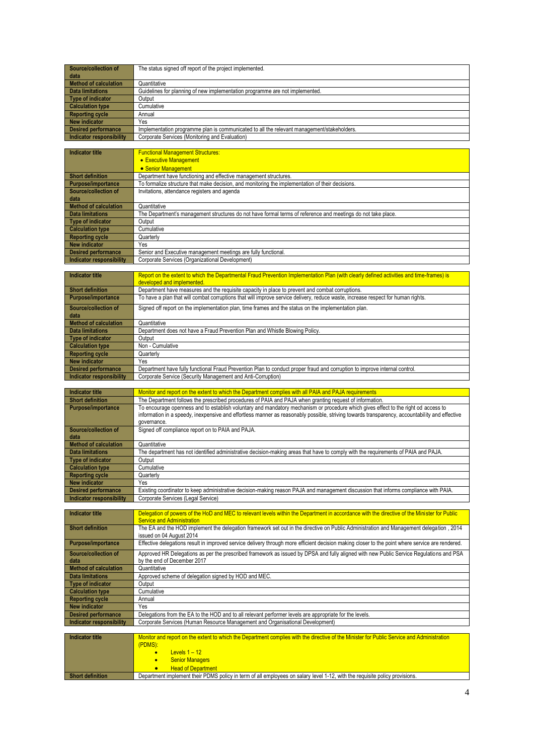| Source/collection of            | The status signed off report of the project implemented.                                   |
|---------------------------------|--------------------------------------------------------------------------------------------|
| data                            |                                                                                            |
| <b>Method of calculation</b>    | Quantitative                                                                               |
| <b>Data limitations</b>         | Guidelines for planning of new implementation programme are not implemented.               |
| <b>Type of indicator</b>        | Output                                                                                     |
| <b>Calculation type</b>         | Cumulative                                                                                 |
| <b>Reporting cycle</b>          | Annual                                                                                     |
| <b>New indicator</b>            | Yes                                                                                        |
| <b>Desired performance</b>      | Implementation programme plan is communicated to all the relevant management/stakeholders. |
| <b>Indicator responsibility</b> | Corporate Services (Monitoring and Evaluation)                                             |
|                                 |                                                                                            |
| Indicator title                 | <b>Eunctional Management Structures:</b>                                                   |

|                            | • Executive Management                                                                                       |
|----------------------------|--------------------------------------------------------------------------------------------------------------|
|                            | • Senior Management                                                                                          |
| <b>Short definition</b>    | Department have functioning and effective management structures.                                             |
| Purpose/importance         | To formalize structure that make decision, and monitoring the implementation of their decisions.             |
| Source/collection of       | Invitations, attendance registers and agenda                                                                 |
| data                       |                                                                                                              |
| Method of calculation      | Quantitative                                                                                                 |
| <b>Data limitations</b>    | The Department's management structures do not have formal terms of reference and meetings do not take place. |
| Type of indicator          | Output                                                                                                       |
| Calculation type           | Cumulative                                                                                                   |
| Reporting cycle            | Quarterly                                                                                                    |
| New indicator              | Yes                                                                                                          |
| <b>Desired performance</b> | Senior and Executive management meetings are fully functional.                                               |
| Indicator responsibility   | Corporate Services (Organizational Development)                                                              |

| <b>Indicator title</b>       | Report on the extent to which the Departmental Fraud Prevention Implementation Plan (with clearly defined activities and time-frames) is |
|------------------------------|------------------------------------------------------------------------------------------------------------------------------------------|
|                              | developed and implemented.                                                                                                               |
| <b>Short definition</b>      | Department have measures and the requisite capacity in place to prevent and combat corruptions.                                          |
| <b>Purpose/importance</b>    | To have a plan that will combat corruptions that will improve service delivery, reduce waste, increase respect for human rights.         |
| Source/collection of         | Signed off report on the implementation plan, time frames and the status on the implementation plan.                                     |
| data                         |                                                                                                                                          |
| <b>Method of calculation</b> | Quantitative                                                                                                                             |
| <b>Data limitations</b>      | Department does not have a Fraud Prevention Plan and Whistle Blowing Policy.                                                             |
| Type of indicator            | Output                                                                                                                                   |
| <b>Calculation type</b>      | Non - Cumulative                                                                                                                         |
| <b>Reporting cycle</b>       | Quarterly                                                                                                                                |
| <b>New indicator</b>         | Yes                                                                                                                                      |
| <b>Desired performance</b>   | Department have fully functional Fraud Prevention Plan to conduct proper fraud and corruption to improve internal control.               |
| Indicator responsibility     | Corporate Service (Security Management and Anti-Corruption)                                                                              |

| <b>Indicator title</b>       | Monitor and report on the extent to which the Department complies with all PAIA and PAJA requirements                                          |
|------------------------------|------------------------------------------------------------------------------------------------------------------------------------------------|
| <b>Short definition</b>      | The Department follows the prescribed procedures of PAIA and PAJA when granting request of information.                                        |
| <b>Purpose/importance</b>    | To encourage openness and to establish voluntary and mandatory mechanism or procedure which gives effect to the right od access to             |
|                              | information in a speedy, inexpensive and effortless manner as reasonably possible, striving towards transparency, accountability and effective |
|                              | governance.                                                                                                                                    |
| Source/collection of         | Signed off compliance report on to PAIA and PAJA.                                                                                              |
| data                         |                                                                                                                                                |
| <b>Method of calculation</b> | Quantitative                                                                                                                                   |
| <b>Data limitations</b>      | The department has not identified administrative decision-making areas that have to comply with the requirements of PAIA and PAJA.             |
| <b>Type of indicator</b>     | Output                                                                                                                                         |
| <b>Calculation type</b>      | Cumulative                                                                                                                                     |
| <b>Reporting cycle</b>       | Quarterly                                                                                                                                      |
| <b>New indicator</b>         | Yes                                                                                                                                            |
| <b>Desired performance</b>   | Existing coordinator to keep administrative decision-making reason PAJA and management discussion that informs compliance with PAIA.           |
| Indicator responsibility     | Corporate Services (Legal Service)                                                                                                             |
|                              |                                                                                                                                                |

| Indicator title              | Delegation of powers of the HoD and MEC to relevant levels within the Department in accordance with the directive of the Minister for Public<br>Service and Administration |
|------------------------------|----------------------------------------------------------------------------------------------------------------------------------------------------------------------------|
| <b>Short definition</b>      | 1014, The EA and the HOD implement the delegation framework set out in the directive on Public Administration and Management delegation<br>issued on 04 August 2014        |
| Purpose/importance           | Effective delegations result in improved service delivery through more efficient decision making closer to the point where service are rendered.                           |
| Source/collection of<br>data | Approved HR Delegations as per the prescribed framework as issued by DPSA and fully aligned with new Public Service Regulations and PSA<br>by the end of December 2017     |
| Method of calculation        | Quantitative                                                                                                                                                               |
| <b>Data limitations</b>      | Approved scheme of delegation signed by HOD and MEC.                                                                                                                       |
| Type of indicator            | Output                                                                                                                                                                     |
| <b>Calculation type</b>      | Cumulative                                                                                                                                                                 |
| <b>Reporting cycle</b>       | Annual                                                                                                                                                                     |
| New indicator                | Yes                                                                                                                                                                        |
| <b>Desired performance</b>   | Delegations from the EA to the HOD and to all relevant performer levels are appropriate for the levels.                                                                    |
| Indicator responsibility     | Corporate Services (Human Resource Management and Organisational Development)                                                                                              |
|                              |                                                                                                                                                                            |

| Indicator title  | Monitor and report on the extent to which the Department complies with the directive of the Minister for Public Service and Administration<br>(PDMS): |
|------------------|-------------------------------------------------------------------------------------------------------------------------------------------------------|
|                  | $I$ evels $1 - 12$                                                                                                                                    |
|                  | <b>Senior Managers</b>                                                                                                                                |
|                  | <b>Head of Department</b>                                                                                                                             |
| Short definition | Department implement their PDMS policy in term of all employees on salary level 1-12, with the requisite policy provisions.                           |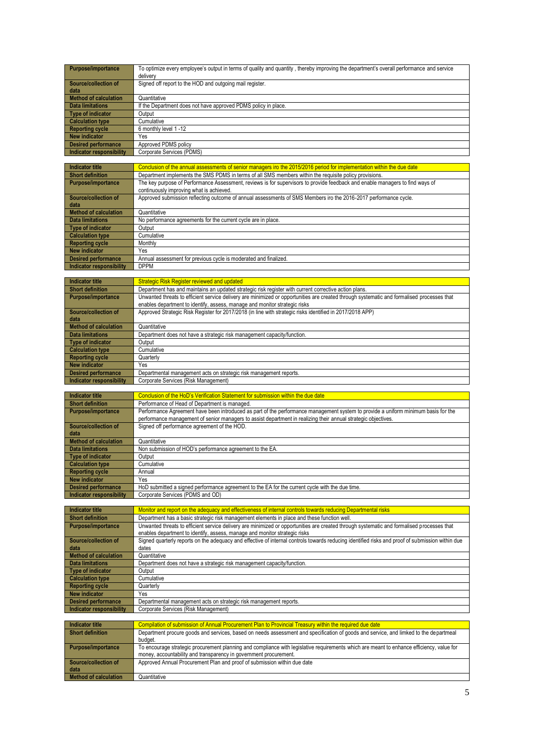| Purpose/importance         | To optimize every employee's output in terms of quality and quantity, thereby improving the department's overall performance and service<br>delivery |
|----------------------------|------------------------------------------------------------------------------------------------------------------------------------------------------|
| Source/collection of       | Signed off report to the HOD and outgoing mail register.                                                                                             |
| l data                     |                                                                                                                                                      |
| Method of calculation      | Quantitative                                                                                                                                         |
| <b>Data limitations</b>    | If the Department does not have approved PDMS policy in place.                                                                                       |
| Type of indicator          | Output                                                                                                                                               |
| Calculation type           | Cumulative                                                                                                                                           |
| <b>Reporting cycle</b>     | 6 monthly level 1-12                                                                                                                                 |
| New indicator              | Yes                                                                                                                                                  |
| <b>Desired performance</b> | Approved PDMS policy                                                                                                                                 |
| Indicator responsibility   | Corporate Services (PDMS)                                                                                                                            |

| Indicator title          | Conclusion of the annual assessments of senior managers iro the 2015/2016 period for implementation within the due date                                                   |
|--------------------------|---------------------------------------------------------------------------------------------------------------------------------------------------------------------------|
| <b>Short definition</b>  | Department implements the SMS PDMS in terms of all SMS members within the requisite policy provisions.                                                                    |
| Purpose/importance       | The key purpose of Performance Assessment, reviews is for supervisors to provide feedback and enable managers to find ways of<br>continuously improving what is achieved. |
| Source/collection of     | Approved submission reflecting outcome of annual assessments of SMS Members iro the 2016-2017 performance cycle.                                                          |
| data                     |                                                                                                                                                                           |
| Method of calculation    | Quantitative                                                                                                                                                              |
| Data limitations         | No performance agreements for the current cycle are in place.                                                                                                             |
| Type of indicator        | Output                                                                                                                                                                    |
| Calculation type         | Cumulative                                                                                                                                                                |
| <b>Reporting cycle</b>   | Monthly                                                                                                                                                                   |
| New indicator            | Yes                                                                                                                                                                       |
| Desired performance      | Annual assessment for previous cycle is moderated and finalized.                                                                                                          |
| Indicator responsibility | <b>DPPM</b>                                                                                                                                                               |

| <b>Indicator title</b>       | <b>Strategic Risk Register reviewed and updated</b>                                                                                        |
|------------------------------|--------------------------------------------------------------------------------------------------------------------------------------------|
| <b>Short definition</b>      | Department has and maintains an updated strategic risk register with current corrective action plans.                                      |
| <b>Purpose/importance</b>    | Unwanted threats to efficient service delivery are minimized or opportunities are created through systematic and formalised processes that |
|                              | enables department to identify, assess, manage and monitor strategic risks                                                                 |
| Source/collection of         | Approved Strategic Risk Register for 2017/2018 (in line with strategic risks identified in 2017/2018 APP)                                  |
| data                         |                                                                                                                                            |
| <b>Method of calculation</b> | Quantitative                                                                                                                               |
| Data limitations             | Department does not have a strategic risk management capacity/function.                                                                    |
| Type of indicator            | Output                                                                                                                                     |
| <b>Calculation type</b>      | Cumulative                                                                                                                                 |
| <b>Reporting cycle</b>       | Quarterly                                                                                                                                  |
| New indicator                | Yes                                                                                                                                        |
| <b>Desired performance</b>   | Departmental management acts on strategic risk management reports.                                                                         |
| Indicator responsibility     | Corporate Services (Risk Management)                                                                                                       |

| Indicator title                 | Conclusion of the HoD's Verification Statement for submission within the due date                                                                                                                                                                    |
|---------------------------------|------------------------------------------------------------------------------------------------------------------------------------------------------------------------------------------------------------------------------------------------------|
| <b>Short definition</b>         | Performance of Head of Department is managed.                                                                                                                                                                                                        |
| <b>Purpose/importance</b>       | Performance Agreement have been introduced as part of the performance management system to provide a uniform minimum basis for the<br>performance management of senior managers to assist department in realizing their annual strategic objectives. |
|                                 |                                                                                                                                                                                                                                                      |
| Source/collection of            | Signed off performance agreement of the HOD.                                                                                                                                                                                                         |
| data                            |                                                                                                                                                                                                                                                      |
| <b>Method of calculation</b>    | Quantitative                                                                                                                                                                                                                                         |
| <b>Data limitations</b>         | Non submission of HOD's performance agreement to the EA.                                                                                                                                                                                             |
| <b>Type of indicator</b>        | Output                                                                                                                                                                                                                                               |
| <b>Calculation type</b>         | Cumulative                                                                                                                                                                                                                                           |
| <b>Reporting cycle</b>          | Annual                                                                                                                                                                                                                                               |
| <b>New indicator</b>            | Yes                                                                                                                                                                                                                                                  |
| <b>Desired performance</b>      | HoD submitted a signed performance agreement to the EA for the current cycle with the due time.                                                                                                                                                      |
| <b>Indicator responsibility</b> | Corporate Services (PDMS and OD)                                                                                                                                                                                                                     |
|                                 |                                                                                                                                                                                                                                                      |

| Indicator title            | Monitor and report on the adequacy and effectiveness of internal controls towards reducing Departmental risks                                    |
|----------------------------|--------------------------------------------------------------------------------------------------------------------------------------------------|
| <b>Short definition</b>    | Department has a basic strategic risk management elements in place and these function well.                                                      |
| Purpose/importance         | Unwanted threats to efficient service delivery are minimized or opportunities are created through systematic and formalised processes that       |
|                            | enables department to identify, assess, manage and monitor strategic risks                                                                       |
| Source/collection of       | Signed guarterly reports on the adeguacy and effective of internal controls towards reducing identified risks and proof of submission within due |
| data                       | dates                                                                                                                                            |
| Method of calculation      | Quantitative                                                                                                                                     |
| <b>Data limitations</b>    | Department does not have a strategic risk management capacity/function.                                                                          |
| Type of indicator          | Output                                                                                                                                           |
| <b>Calculation type</b>    | Cumulative                                                                                                                                       |
| <b>Reporting cycle</b>     | Quarterly                                                                                                                                        |
| New indicator              | Yes                                                                                                                                              |
| <b>Desired performance</b> | Departmental management acts on strategic risk management reports.                                                                               |
| Indicator responsibility   | Corporate Services (Risk Management)                                                                                                             |
|                            |                                                                                                                                                  |
| Indicator title            | Compilation of submission of Annual Procurement Plan to Provincial Treasury within the required due date                                         |

| Indicator title              | Compilation of submission of Annual Procurement Plan to Provincial Treasury within the required due date                                                                                                       |
|------------------------------|----------------------------------------------------------------------------------------------------------------------------------------------------------------------------------------------------------------|
| <b>Short definition</b>      | Department procure goods and services, based on needs assessment and specification of goods and service, and limked to the departmeal<br>budget.                                                               |
| <b>Purpose/importance</b>    | To encourage strategic procurement planning and compliance with legislative requirements which are meant to enhance efficiency, value for<br>money, accountability and transparency in government procurement. |
| Source/collection of<br>data | Approved Annual Procurement Plan and proof of submission within due date                                                                                                                                       |
| <b>Method of calculation</b> | Quantitative                                                                                                                                                                                                   |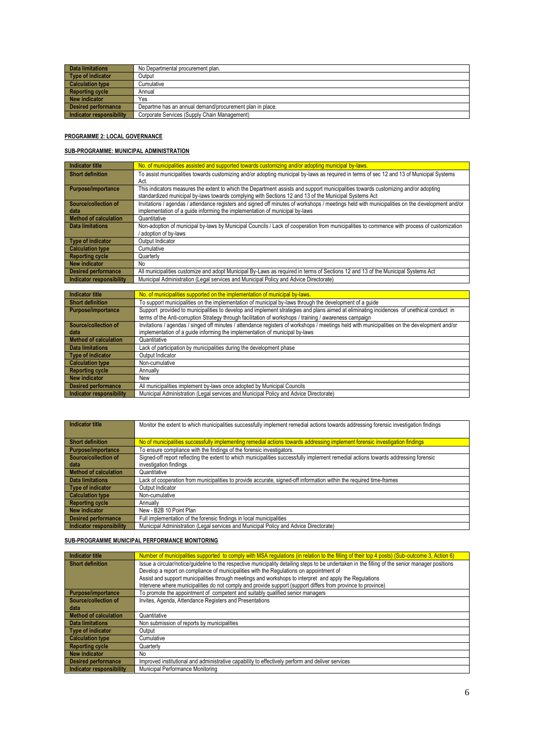| Data limitations           | No Departmental procurement plan.                        |
|----------------------------|----------------------------------------------------------|
| Type of indicator          | Output                                                   |
| <b>Calculation type</b>    | Cumulative                                               |
| <b>Reporting cycle</b>     | Annual                                                   |
| New indicator              | Yes                                                      |
| <b>Desired performance</b> | Departme has an annual demand/procurement plan in place. |
| Indicator responsibility   | Corporate Services (Supply Chain Management)             |

#### **PROGRAMME 2: LOCAL GOVERNANCE**

#### **SUB-PROGRAMME: MUNICIPAL ADMINISTRATION**

| Indicator title              | No. of municipalities assisted and supported towards customizing and/or adopting municipal by-laws.                                            |
|------------------------------|------------------------------------------------------------------------------------------------------------------------------------------------|
| <b>Short definition</b>      | To assist municipalities towards customizing and/or adopting municipal by-laws as required in terms of sec 12 and 13 of Municipal Systems      |
|                              | Act.                                                                                                                                           |
| Purpose/importance           | This indicators measures the extent to which the Department assists and support municipalities towards customizing and/or adopting             |
|                              | standardized municipal by-laws towards complying with Sections 12 and 13 of the Municipal Systems Act                                          |
| Source/collection of         | Invitations / agendas / attendance registers and signed off minutes of workshops / meetings held with municipalities on the development and/or |
| data                         | implementation of a quide informing the implementation of municipal by-laws                                                                    |
| <b>Method of calculation</b> | Quantitative                                                                                                                                   |
| Data limitations             | Non-adoption of municipal by-laws by Municipal Councils / Lack of cooperation from municipalities to commence with process of customization    |
|                              | adoption of by-laws                                                                                                                            |
| Type of indicator            | Output Indicator                                                                                                                               |
| <b>Calculation type</b>      | Cumulative                                                                                                                                     |
| <b>Reporting cycle</b>       | Quarterly                                                                                                                                      |
| New indicator                | No                                                                                                                                             |
| <b>Desired performance</b>   | All municipalities customize and adopt Municipal By-Laws as required in terms of Sections 12 and 13 of the Municipal Systems Act               |
| Indicator responsibility     | Municipal Administration (Legal services and Municipal Policy and Advice Directorate)                                                          |
|                              |                                                                                                                                                |

| <b>Indicator title</b>       | No. of municipalities supported on the implementation of municipal by-laws.                                                                  |
|------------------------------|----------------------------------------------------------------------------------------------------------------------------------------------|
| <b>Short definition</b>      | To support municipalities on the implementation of municipal by-laws through the development of a quide                                      |
| <b>Purpose/importance</b>    | Support provided to municipalities to develop and implement strategies and plans aimed at eliminating incidences of unethical conduct in     |
|                              | terms of the Anti-corruption Strategy through facilitation of workshops / training / awareness campaign                                      |
| Source/collection of         | Invitations / agendas / singed off minutes / attendance registers of workshops / meetings held with municipalities on the development and/or |
| data                         | implementation of a quide informing the implementation of municipal by-laws                                                                  |
| <b>Method of calculation</b> | Quantitative                                                                                                                                 |
| <b>Data limitations</b>      | Lack of participation by municipalities during the development phase                                                                         |
| Type of indicator            | Output Indicator                                                                                                                             |
| <b>Calculation type</b>      | Non-cumulative                                                                                                                               |
| <b>Reporting cycle</b>       | Annually                                                                                                                                     |
| <b>New indicator</b>         | New                                                                                                                                          |
| <b>Desired performance</b>   | All municipalities implement by-laws once adopted by Municipal Councils                                                                      |
| Indicator responsibility     | Municipal Administration (Legal services and Municipal Policy and Advice Directorate)                                                        |

| Indicator title              | Monitor the extent to which municipalities successfully implement remedial actions towards addressing forensic investigation findings |
|------------------------------|---------------------------------------------------------------------------------------------------------------------------------------|
|                              |                                                                                                                                       |
| <b>Short definition</b>      | No of municipalities successfully implementing remedial actions towards addressing implement forensic investigation findings          |
| <b>Purpose/importance</b>    | To ensure compliance with the findings of the forensic investigators.                                                                 |
| Source/collection of         | Signed-off report reflecting the extent to which municipalities successfully implement remedial actions towards addressing forensic   |
| data                         | investigation findings                                                                                                                |
| <b>Method of calculation</b> | Quantitative                                                                                                                          |
| <b>Data limitations</b>      | Lack of cooperation from municipalities to provide accurate, signed-off information within the required time-frames                   |
| Type of indicator            | Output Indicator                                                                                                                      |
| <b>Calculation type</b>      | Non-cumulative                                                                                                                        |
| <b>Reporting cycle</b>       | Annually                                                                                                                              |
| New indicator                | New - B2B 10 Point Plan                                                                                                               |
| <b>Desired performance</b>   | Full implementation of the forensic findings in local municipalities                                                                  |
| Indicator responsibility     | Municipal Administration (Legal services and Municipal Policy and Advice Directorate)                                                 |

#### **SUB-PROGRAMME MUNICIPAL PERFORMANCE MONITORING**

| <b>Indicator title</b>       | Number of municipalities supported to comply with MSA regulations (in relation to the filling of their top 4 posts) (Sub-outcome 3, Action 6)    |
|------------------------------|--------------------------------------------------------------------------------------------------------------------------------------------------|
| <b>Short definition</b>      | Issue a circular/notice/quideline to the respective municipality detailing steps to be undertaken in the filling of the senior manager positions |
|                              | Develop a report on compliance of municipalities with the Regulations on appointment of                                                          |
|                              | Assist and support municipalities through meetings and workshops to interpret and apply the Regulations                                          |
|                              | Intervene where municipalities do not comply and provide support (support differs from province to province)                                     |
| <b>Purpose/importance</b>    | To promote the appointment of competent and suitably qualified senior managers                                                                   |
| Source/collection of         | Invites, Agenda, Attendance Registers and Presentations                                                                                          |
| data                         |                                                                                                                                                  |
| <b>Method of calculation</b> | Quantitative                                                                                                                                     |
| <b>Data limitations</b>      | Non submission of reports by municipalities                                                                                                      |
| <b>Type of indicator</b>     | Output                                                                                                                                           |
| <b>Calculation type</b>      | Cumulative                                                                                                                                       |
| <b>Reporting cycle</b>       | Quarterly                                                                                                                                        |
| <b>New indicator</b>         | No                                                                                                                                               |
| <b>Desired performance</b>   | Improved institutional and administrative capability to effectively perform and deliver services                                                 |
| Indicator responsibility     | Municipal Performance Monitoring                                                                                                                 |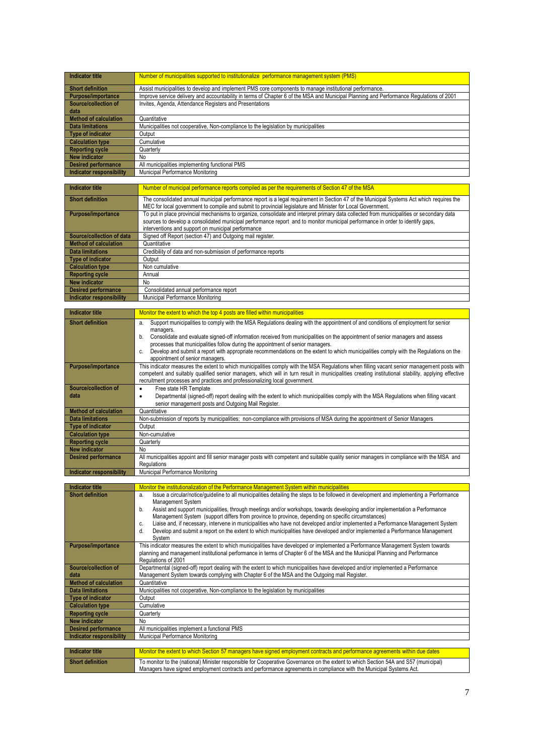| <b>Indicator title</b>          | Number of municipalities supported to institutionalize performance management system (PMS)                                              |
|---------------------------------|-----------------------------------------------------------------------------------------------------------------------------------------|
| <b>Short definition</b>         | Assist municipalities to develop and implement PMS core components to manage institutional performance.                                 |
| <b>Purpose/importance</b>       | Improve service delivery and accountability in terms of Chapter 6 of the MSA and Municipal Planning and Performance Regulations of 2001 |
| Source/collection of            | Invites, Agenda, Attendance Registers and Presentations                                                                                 |
| data                            |                                                                                                                                         |
| <b>Method of calculation</b>    | Quantitative                                                                                                                            |
| Data limitations                | Municipalities not cooperative, Non-compliance to the legislation by municipalities                                                     |
| <b>Type of indicator</b>        | Output                                                                                                                                  |
| <b>Calculation type</b>         | Cumulative                                                                                                                              |
| <b>Reporting cycle</b>          | Quarterly                                                                                                                               |
| <b>New indicator</b>            | No                                                                                                                                      |
| <b>Desired performance</b>      | All municipalities implementing functional PMS                                                                                          |
| <b>Indicator responsibility</b> | Municipal Performance Monitoring                                                                                                        |

| Indicator title            | Number of municipal performance reports compiled as per the requirements of Section 47 of the MSA                                         |
|----------------------------|-------------------------------------------------------------------------------------------------------------------------------------------|
| <b>Short definition</b>    | The consolidated annual municipal performance report is a legal requirement in Section 47 of the Municipal Systems Act which requires the |
|                            | MEC for local government to compile and submit to provincial legislature and Minister for Local Government.                               |
| Purpose/importance         | To put in place provincial mechanisms to organize, consolidate and interpret primary data collected from municipalities or secondary data |
|                            | sources to develop a consolidated municipal performance report and to monitor municipal performance in order to identify gaps,            |
|                            | interventions and support on municipal performance                                                                                        |
| Source/collection of data  | Signed off Report (section 47) and Outgoing mail register.                                                                                |
| Method of calculation      | Quantitative                                                                                                                              |
| Data limitations           | Credibility of data and non-submission of performance reports                                                                             |
| Type of indicator          | Output                                                                                                                                    |
| <b>Calculation type</b>    | Non cumulative                                                                                                                            |
| <b>Reporting cycle</b>     | Annual                                                                                                                                    |
| New indicator              | <b>No</b>                                                                                                                                 |
| <b>Desired performance</b> | Consolidated annual performance report                                                                                                    |
| Indicator responsibility   | Municipal Performance Monitoring                                                                                                          |

| <b>Indicator title</b>       | Monitor the extent to which the top 4 posts are filled within municipalities                                                                       |
|------------------------------|----------------------------------------------------------------------------------------------------------------------------------------------------|
| <b>Short definition</b>      | Support municipalities to comply with the MSA Regulations dealing with the appointment of and conditions of employment for senior<br>a.            |
|                              | managers.                                                                                                                                          |
|                              | Consolidate and evaluate signed-off information received from municipalities on the appointment of senior managers and assess<br>b.                |
|                              | processes that municipalities follow during the appointment of senior managers.                                                                    |
|                              | Develop and submit a report with appropriate recommendations on the extent to which municipalities comply with the Regulations on the              |
|                              | appointment of senior managers.                                                                                                                    |
| <b>Purpose/importance</b>    | This indicator measures the extent to which municipalities comply with the MSA Requlations when filling vacant senior management posts with        |
|                              | competent and suitably qualified senior managers, which will in turn result in municipalities creating institutional stability, applying effective |
|                              | recruitment processes and practices and professionalizing local government.                                                                        |
| Source/collection of         | Free state HR Template<br>٠                                                                                                                        |
| data                         | Departmental (signed-off) report dealing with the extent to which municipalities comply with the MSA Regulations when filling vacant<br>٠          |
|                              | senior management posts and Outgoing Mail Register.                                                                                                |
| <b>Method of calculation</b> | Quantitative                                                                                                                                       |
| <b>Data limitations</b>      | Non-submission of reports by municipalities; non-compliance with provisions of MSA during the appointment of Senior Managers                       |
| <b>Type of indicator</b>     | Output                                                                                                                                             |
| <b>Calculation type</b>      | Non-cumulative                                                                                                                                     |
| <b>Reporting cycle</b>       | Quarterly                                                                                                                                          |
| <b>New indicator</b>         | No                                                                                                                                                 |
| <b>Desired performance</b>   | All municipalities appoint and fill senior manager posts with competent and suitable quality senior managers in compliance with the MSA and        |
|                              | Regulations                                                                                                                                        |
| Indicator responsibility     | Municipal Performance Monitoring                                                                                                                   |

| Indicator title              | Monitor the institutionalization of the Performance Management System within municipalities                                                    |
|------------------------------|------------------------------------------------------------------------------------------------------------------------------------------------|
| <b>Short definition</b>      | Issue a circular/notice/quideline to all municipalities detailing the steps to be followed in development and implementing a Performance<br>a. |
|                              | Management System                                                                                                                              |
|                              | Assist and support municipalities, through meetings and/or workshops, towards developing and/or implementation a Performance<br>b.             |
|                              | Management System (support differs from province to province, depending on specific circumstances)                                             |
|                              | Liaise and, if necessary, intervene in municipalities who have not developed and/or implemented a Performance Management System<br>c.          |
|                              | Develop and submit a report on the extent to which municipalities have developed and/or implemented a Performance Management<br>d.             |
|                              | System                                                                                                                                         |
| <b>Purpose/importance</b>    | This indicator measures the extent to which municipalities have developed or implemented a Performance Management System towards               |
|                              | planning and management institutional performance in terms of Chapter 6 of the MSA and the Municipal Planning and Performance                  |
|                              | Regulations of 2001                                                                                                                            |
| Source/collection of         | Departmental (signed-off) report dealing with the extent to which municipalities have developed and/or implemented a Performance               |
| data                         | Management System towards complying with Chapter 6 of the MSA and the Outgoing mail Register.                                                  |
| <b>Method of calculation</b> | Quantitative                                                                                                                                   |
| <b>Data limitations</b>      | Municipalities not cooperative, Non-compliance to the legislation by municipalities                                                            |
| Type of indicator            | Output                                                                                                                                         |
| <b>Calculation type</b>      | Cumulative                                                                                                                                     |
| <b>Reporting cycle</b>       | Quarterly                                                                                                                                      |
| <b>New indicator</b>         | No                                                                                                                                             |
| <b>Desired performance</b>   | All municipalities implement a functional PMS                                                                                                  |
| Indicator responsibility     | Municipal Performance Monitoring                                                                                                               |
|                              |                                                                                                                                                |
| Indicator title              | Monitor the extent to which Section 57 managers have signed employment contracts and performance agreements within due dates                   |
| <b>Short definition</b>      | To monitor to the (national) Minister responsible for Cooperative Governance on the extent to which Section 54A and S57 (municipal)            |
|                              | Managers have signed employment contracts and performance agreements in compliance with the Municipal Systems Act.                             |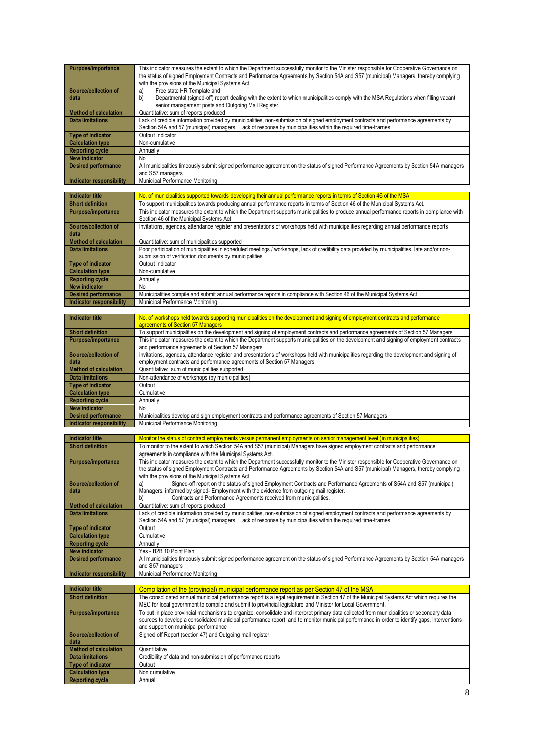| <b>Purpose/importance</b>    | This indicator measures the extent to which the Department successfully monitor to the Minister responsible for Cooperative Governance on  |
|------------------------------|--------------------------------------------------------------------------------------------------------------------------------------------|
|                              | the status of signed Employment Contracts and Performance Agreements by Section 54A and S57 (municipal) Managers, thereby complying        |
|                              | with the provisions of the Municipal Systems Act                                                                                           |
| Source/collection of         | Free state HR Template and<br>a)                                                                                                           |
| data                         | Departmental (signed-off) report dealing with the extent to which municipalities comply with the MSA Regulations when filling vacant<br>b) |
|                              | senior management posts and Outgoing Mail Register.                                                                                        |
| <b>Method of calculation</b> | Quantitative: sum of reports produced                                                                                                      |
| <b>Data limitations</b>      | Lack of credible information provided by municipalities, non-submission of signed employment contracts and performance agreements by       |
|                              | Section 54A and 57 (municipal) managers. Lack of response by municipalities within the required time-frames                                |
| <b>Type of indicator</b>     | Output Indicator                                                                                                                           |
| <b>Calculation type</b>      | Non-cumulative                                                                                                                             |
| <b>Reporting cycle</b>       | Annually                                                                                                                                   |
| <b>New indicator</b>         | No                                                                                                                                         |
| <b>Desired performance</b>   | All municipalities timeously submit signed performance agreement on the status of signed Performance Agreements by Section 54A managers    |
|                              | and S57 managers                                                                                                                           |
| Indicator responsibility     | Municipal Performance Monitoring                                                                                                           |

| Indicator title              | No. of municipalities supported towards developing their annual performance reports in terms of Section 46 of the MSA                         |
|------------------------------|-----------------------------------------------------------------------------------------------------------------------------------------------|
| <b>Short definition</b>      | To support municipalities towards producing annual performance reports in terms of Section 46 of the Municipal Systems Act.                   |
| <b>Purpose/importance</b>    | This indicator measures the extent to which the Department supports municipalities to produce annual performance reports in compliance with   |
|                              | Section 46 of the Municipal Systems Act                                                                                                       |
| Source/collection of         | Invitations, agendas, attendance register and presentations of workshops held with municipalities regarding annual performance reports        |
| data                         |                                                                                                                                               |
| <b>Method of calculation</b> | Quantitative: sum of municipalities supported                                                                                                 |
| <b>Data limitations</b>      | Poor participation of municipalities in scheduled meetings / workshops, lack of credibility data provided by municipalities, late and/or non- |
|                              | submission of verification documents by municipalities                                                                                        |
| Type of indicator            | Output Indicator                                                                                                                              |
| <b>Calculation type</b>      | Non-cumulative                                                                                                                                |
| <b>Reporting cycle</b>       | Annually                                                                                                                                      |
| <b>New indicator</b>         | No                                                                                                                                            |
| <b>Desired performance</b>   | Municipalities compile and submit annual performance reports in compliance with Section 46 of the Municipal Systems Act                       |
| Indicator responsibility     | Municipal Performance Monitoring                                                                                                              |

| Indicator title                 | No. of workshops held towards supporting municipalities on the development and signing of employment contracts and performance             |
|---------------------------------|--------------------------------------------------------------------------------------------------------------------------------------------|
|                                 | agreements of Section 57 Managers                                                                                                          |
| <b>Short definition</b>         | To support municipalities on the development and signing of employment contracts and performance agreements of Section 57 Managers         |
| <b>Purpose/importance</b>       | This indicator measures the extent to which the Department supports municipalities on the development and signing of employment contracts  |
|                                 | and performance agreements of Section 57 Managers                                                                                          |
| Source/collection of            | Invitations, agendas, attendance register and presentations of workshops held with municipalities regarding the development and signing of |
| data                            | employment contracts and performance agreements of Section 57 Managers                                                                     |
| <b>Method of calculation</b>    | Quantitative: sum of municipalities supported                                                                                              |
| <b>Data limitations</b>         | Non-attendance of workshops (by municipalities)                                                                                            |
| Type of indicator               | Output                                                                                                                                     |
| <b>Calculation type</b>         | Cumulative                                                                                                                                 |
| <b>Reporting cycle</b>          | Annually                                                                                                                                   |
| <b>New indicator</b>            | No                                                                                                                                         |
| <b>Desired performance</b>      | Municipalities develop and sign employment contracts and performance agreements of Section 57 Managers                                     |
| <b>Indicator responsibility</b> | Municipal Performance Monitoring                                                                                                           |

| <b>Indicator title</b>          | Monitor the status of contract employments versus permanent employments on senior management level (in municipalities)                    |
|---------------------------------|-------------------------------------------------------------------------------------------------------------------------------------------|
| <b>Short definition</b>         | To monitor to the extent to which Section 54A and S57 (municipal) Managers have signed employment contracts and performance               |
|                                 | agreements in compliance with the Municipal Systems Act.                                                                                  |
| <b>Purpose/importance</b>       | This indicator measures the extent to which the Department successfully monitor to the Minister responsible for Cooperative Governance on |
|                                 | the status of signed Employment Contracts and Performance Agreements by Section 54A and S57 (municipal) Managers, thereby complying       |
|                                 | with the provisions of the Municipal Systems Act                                                                                          |
| Source/collection of            | Signed-off report on the status of signed Employment Contracts and Performance Agreements of S54A and S57 (municipal)<br>a)               |
| data                            | Managers, informed by signed- Employment with the evidence from outgoing mail register.                                                   |
|                                 | Contracts and Performance Agreements received from municipalities.<br>b)                                                                  |
| <b>Method of calculation</b>    | Quantitative: sum of reports produced                                                                                                     |
| Data limitations                | Lack of credible information provided by municipalities, non-submission of signed employment contracts and performance agreements by      |
|                                 | Section 54A and 57 (municipal) managers. Lack of response by municipalities within the required time-frames                               |
| <b>Type of indicator</b>        | Output                                                                                                                                    |
| <b>Calculation type</b>         | Cumulative                                                                                                                                |
| <b>Reporting cycle</b>          | Annually                                                                                                                                  |
| <b>New indicator</b>            | Yes - B2B 10 Point Plan                                                                                                                   |
| <b>Desired performance</b>      | All municipalities timeously submit signed performance agreement on the status of signed Performance Agreements by Section 54A managers   |
|                                 | and S57 managers                                                                                                                          |
| <b>Indicator responsibility</b> | Municipal Performance Monitoring                                                                                                          |

| Compilation of the (provincial) municipal performance report as per Section 47 of the MSA                                                    |
|----------------------------------------------------------------------------------------------------------------------------------------------|
| The consolidated annual municipal performance report is a legal requirement in Section 47 of the Municipal Systems Act which requires the    |
| MEC for local government to compile and submit to provincial legislature and Minister for Local Government.                                  |
| To put in place provincial mechanisms to organize, consolidate and interpret primary data collected from municipalities or secondary data    |
| sources to develop a consolidated municipal performance report and to monitor municipal performance in order to identify gaps, interventions |
| and support on municipal performance                                                                                                         |
| Signed off Report (section 47) and Outgoing mail register.                                                                                   |
|                                                                                                                                              |
| Quantitative                                                                                                                                 |
| Credibility of data and non-submission of performance reports                                                                                |
| Output                                                                                                                                       |
| Non cumulative                                                                                                                               |
| Annual                                                                                                                                       |
|                                                                                                                                              |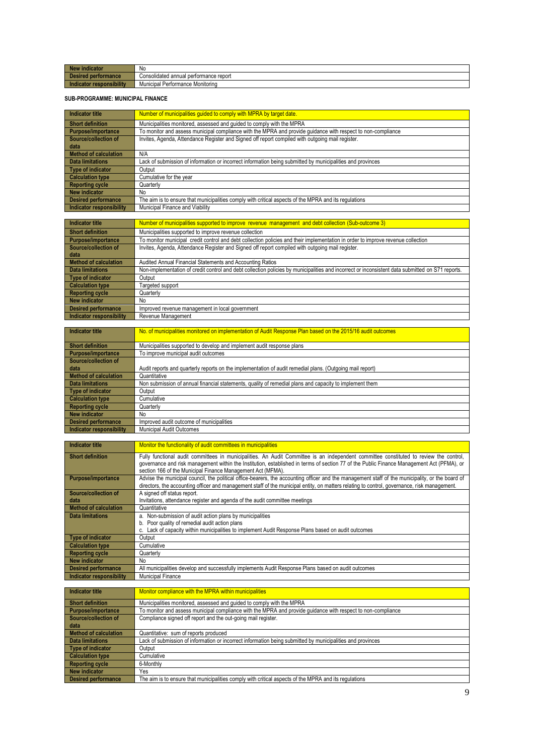| <b>Ne</b><br>indicator               | No                                      |
|--------------------------------------|-----------------------------------------|
| <b>Dec</b><br><b>I</b> performance   | Consolidated annual performance report  |
| responsibility<br><b>Inc.</b><br>mon | . .<br>Municipal Performance Monitoring |

#### **SUB-PROGRAMME: MUNICIPAL FINANCE**

| Indicator title              | Number of municipalities guided to comply with MPRA by target date.                                          |
|------------------------------|--------------------------------------------------------------------------------------------------------------|
| <b>Short definition</b>      | Municipalities monitored, assessed and quided to comply with the MPRA                                        |
| <b>Purpose/importance</b>    | To monitor and assess municipal compliance with the MPRA and provide quidance with respect to non-compliance |
| Source/collection of         | Invites, Agenda, Attendance Register and Signed off report compiled with outgoing mail register.             |
| data                         |                                                                                                              |
| <b>Method of calculation</b> | N/A                                                                                                          |
| <b>Data limitations</b>      | Lack of submission of information or incorrect information being submitted by municipalities and provinces   |
| <b>Type of indicator</b>     | Output                                                                                                       |
| <b>Calculation type</b>      | Cumulative for the year                                                                                      |
| <b>Reporting cycle</b>       | Quarterly                                                                                                    |
| <b>New indicator</b>         | No                                                                                                           |
| <b>Desired performance</b>   | The aim is to ensure that municipalities comply with critical aspects of the MPRA and its regulations        |
| Indicator responsibility     | Municipal Finance and Viability                                                                              |
|                              |                                                                                                              |
| Indicator title              | Number of municipalities supported to improve revenue management and debt collection (Sub-outcome 3)         |
| Charles definition           | Municipalities auppeted to impresse reseaux aplication.                                                      |

| Short definition         | Municipalities supported to improve revenue collection                                                                                           |
|--------------------------|--------------------------------------------------------------------------------------------------------------------------------------------------|
| Purpose/importance       | To monitor municipal credit control and debt collection policies and their implementation in order to improve revenue collection                 |
| Source/collection of     | Invites, Agenda, Attendance Register and Signed off report compiled with outgoing mail register.                                                 |
| l data                   |                                                                                                                                                  |
| Method of calculation    | Audited Annual Financial Statements and Accounting Ratios                                                                                        |
| <b>Data limitations</b>  | Non-implementation of credit control and debt collection policies by municipalities and incorrect or inconsistent data submitted on S71 reports. |
| Type of indicator        | Output                                                                                                                                           |
| <b>Calculation type</b>  | Targeted support                                                                                                                                 |
| Reporting cycle          | Quarterly                                                                                                                                        |
| New indicator            | No.                                                                                                                                              |
| Desired performance      | Improved revenue management in local government                                                                                                  |
| Indicator responsibility | Revenue Management                                                                                                                               |

| Indicator title            | No. of municipalities monitored on implementation of Audit Response Plan based on the 2015/16 audit outcomes |
|----------------------------|--------------------------------------------------------------------------------------------------------------|
|                            |                                                                                                              |
| Short definition           | Municipalities supported to develop and implement audit response plans                                       |
| Purpose/importance         | To improve municipal audit outcomes                                                                          |
| Source/collection of       |                                                                                                              |
| data                       | Audit reports and quarterly reports on the implementation of audit remedial plans. (Outgoing mail report)    |
| Method of calculation      | Quantitative                                                                                                 |
| <b>Data limitations</b>    | Non submission of annual financial statements, quality of remedial plans and capacity to implement them      |
| Type of indicator          | Output                                                                                                       |
| <b>Calculation type</b>    | Cumulative                                                                                                   |
| Reporting cycle            | Quarterly                                                                                                    |
| New indicator              | No.                                                                                                          |
| <b>Desired performance</b> | Improved audit outcome of municipalities                                                                     |
| Indicator responsibility   | Municipal Audit Outcomes                                                                                     |

| <b>Indicator title</b>       | Monitor the functionality of audit committees in municipalities                                                                                  |
|------------------------------|--------------------------------------------------------------------------------------------------------------------------------------------------|
| <b>Short definition</b>      | Fully functional audit committees in municipalities. An Audit Committee is an independent committee constituted to review the control,           |
|                              | governance and risk management within the Institution, established in terms of section 77 of the Public Finance Management Act (PFMA), or        |
|                              | section 166 of the Municipal Finance Management Act (MFMA).                                                                                      |
| <b>Purpose/importance</b>    | Advise the municipal council, the political office-bearers, the accounting officer and the management staff of the municipality, or the board of |
|                              | directors, the accounting officer and management staff of the municipal entity, on matters relating to control, governance, risk management.     |
| Source/collection of         | A signed off status report.                                                                                                                      |
| data                         | Invitations, attendance register and agenda of the audit committee meetings                                                                      |
| <b>Method of calculation</b> | Quantitative                                                                                                                                     |
| Data limitations             | a. Non-submission of audit action plans by municipalities                                                                                        |
|                              | b. Poor quality of remedial audit action plans                                                                                                   |
|                              | c. Lack of capacity within municipalities to implement Audit Response Plans based on audit outcomes                                              |
| Type of indicator            | Output                                                                                                                                           |
| <b>Calculation type</b>      | Cumulative                                                                                                                                       |
| <b>Reporting cycle</b>       | Quarterly                                                                                                                                        |
| <b>New indicator</b>         | No                                                                                                                                               |
| <b>Desired performance</b>   | All municipalities develop and successfully implements Audit Response Plans based on audit outcomes                                              |
| Indicator responsibility     | <b>Municipal Finance</b>                                                                                                                         |

| Indicator title         | Monitor compliance with the MPRA within municipalities                                                       |
|-------------------------|--------------------------------------------------------------------------------------------------------------|
| Short definition        | Municipalities monitored, assessed and quided to comply with the MPRA                                        |
| Purpose/importance      | To monitor and assess municipal compliance with the MPRA and provide quidance with respect to non-compliance |
| Source/collection of    | Compliance signed off report and the out-going mail register.                                                |
| data                    |                                                                                                              |
| Method of calculation   | Quantitative: sum of reports produced                                                                        |
| <b>Data limitations</b> | Lack of submission of information or incorrect information being submitted by municipalities and provinces   |
| Type of indicator       | Output                                                                                                       |
| <b>Calculation type</b> | Cumulative                                                                                                   |
| Reporting cycle         | 6-Monthly                                                                                                    |
| New indicator           | Yes                                                                                                          |
| Desired performance     | The aim is to ensure that municipalities comply with critical aspects of the MPRA and its requlations        |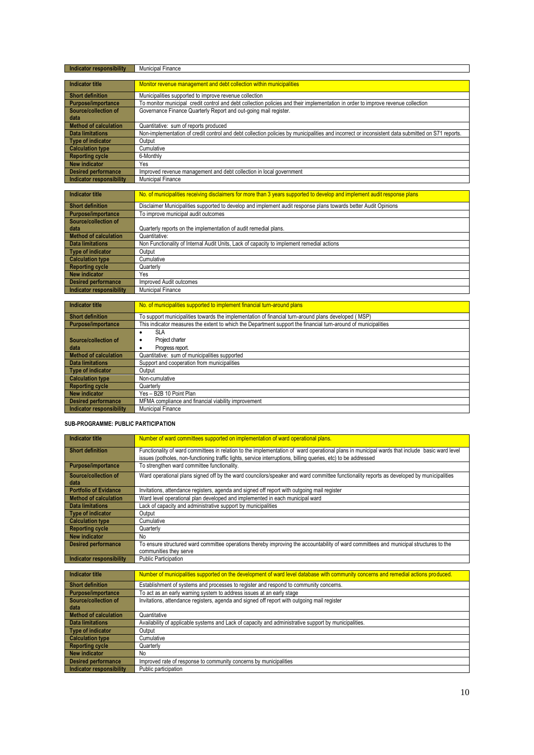| Indicator responsibility     | <b>Municipal Finance</b>                                                                                                                         |
|------------------------------|--------------------------------------------------------------------------------------------------------------------------------------------------|
|                              |                                                                                                                                                  |
| <b>Indicator title</b>       | Monitor revenue management and debt collection within municipalities                                                                             |
| <b>Short definition</b>      | Municipalities supported to improve revenue collection                                                                                           |
| <b>Purpose/importance</b>    | To monitor municipal credit control and debt collection policies and their implementation in order to improve revenue collection                 |
| Source/collection of         | Governance Finance Quarterly Report and out-going mail register.                                                                                 |
| data                         |                                                                                                                                                  |
| <b>Method of calculation</b> | Quantitative: sum of reports produced                                                                                                            |
| <b>Data limitations</b>      | Non-implementation of credit control and debt collection policies by municipalities and incorrect or inconsistent data submitted on S71 reports. |
| <b>Type of indicator</b>     | Output                                                                                                                                           |
| <b>Calculation type</b>      | Cumulative                                                                                                                                       |
| <b>Reporting cycle</b>       | 6-Monthly                                                                                                                                        |
| <b>New indicator</b>         | Yes                                                                                                                                              |
| <b>Desired performance</b>   | Improved revenue management and debt collection in local government                                                                              |
| Indicator responsibility     | <b>Municipal Finance</b>                                                                                                                         |
|                              |                                                                                                                                                  |

| Indicator title          | No. of municipalities receiving disclaimers for more than 3 years supported to develop and implement audit response plans |
|--------------------------|---------------------------------------------------------------------------------------------------------------------------|
| <b>Short definition</b>  | Disclaimer Municipalities supported to develop and implement audit response plans towards better Audit Opinions           |
| Purpose/importance       | To improve municipal audit outcomes                                                                                       |
| Source/collection of     |                                                                                                                           |
| data                     | Quarterly reports on the implementation of audit remedial plans.                                                          |
| Method of calculation    | Quantitative:                                                                                                             |
| <b>Data limitations</b>  | Non Functionality of Internal Audit Units, Lack of capacity to implement remedial actions                                 |
| Type of indicator        | Output                                                                                                                    |
| Calculation type         | Cumulative                                                                                                                |
| Reporting cycle          | Quarterly                                                                                                                 |
| New indicator            | Yes                                                                                                                       |
| Desired performance      | Improved Audit outcomes                                                                                                   |
| Indicator responsibility | <b>Municipal Finance</b>                                                                                                  |

| Indicator title                 | No. of municipalities supported to implement financial turn-around plans                                       |
|---------------------------------|----------------------------------------------------------------------------------------------------------------|
| <b>Short definition</b>         | To support municipalities towards the implementation of financial turn-around plans developed (MSP)            |
| <b>Purpose/importance</b>       | This indicator measures the extent to which the Department support the financial turn-around of municipalities |
|                                 | SLA                                                                                                            |
| Source/collection of            | Project charter                                                                                                |
| data                            | Progress report.<br>٠                                                                                          |
| <b>Method of calculation</b>    | Quantitative: sum of municipalities supported                                                                  |
| <b>Data limitations</b>         | Support and cooperation from municipalities                                                                    |
| <b>Type of indicator</b>        | Output                                                                                                         |
| <b>Calculation type</b>         | Non-cumulative                                                                                                 |
| <b>Reporting cycle</b>          | Quarterly                                                                                                      |
| <b>New indicator</b>            | Yes - B2B 10 Point Plan                                                                                        |
| <b>Desired performance</b>      | MFMA compliance and financial viability improvement                                                            |
| <b>Indicator responsibility</b> | Municipal Finance                                                                                              |

#### **SUB-PROGRAMME: PUBLIC PARTICIPATION**

**Indicator responsibility** Public participation

| <b>Indicator title</b>       | Number of ward committees supported on implementation of ward operational plans.                                                              |
|------------------------------|-----------------------------------------------------------------------------------------------------------------------------------------------|
| <b>Short definition</b>      | Functionality of ward committees in relation to the implementation of ward operational plans in municipal wards that include basic ward level |
|                              | issues (potholes, non-functioning traffic lights, service interruptions, billing queries, etc) to be addressed                                |
| <b>Purpose/importance</b>    | To strengthen ward committee functionality.                                                                                                   |
| Source/collection of         | Ward operational plans signed off by the ward councilors/speaker and ward committee functionality reports as developed by municipalities      |
| data                         |                                                                                                                                               |
| <b>Portfolio of Evidance</b> | Invitations, attendance registers, agenda and signed off report with outgoing mail register                                                   |
| <b>Method of calculation</b> | Ward level operational plan developed and implemented in each municipal ward                                                                  |
| <b>Data limitations</b>      | Lack of capacity and administrative support by municipalities                                                                                 |
| <b>Type of indicator</b>     | Output                                                                                                                                        |
| <b>Calculation type</b>      | Cumulative                                                                                                                                    |
| <b>Reporting cycle</b>       | Quarterly                                                                                                                                     |
| <b>New indicator</b>         | No                                                                                                                                            |
| <b>Desired performance</b>   | To ensure structured ward committee operations thereby improving the accountability of ward committees and municipal structures to the        |
|                              | communities they serve                                                                                                                        |
| Indicator responsibility     | <b>Public Participation</b>                                                                                                                   |
|                              |                                                                                                                                               |
| <b>Indicator title</b>       | Number of municipalities supported on the development of ward level database with community concerns and remedial actions produced.           |
| <b>Short definition</b>      | Establishment of systems and processes to register and respond to community concerns.                                                         |
| Purpose/importance           | To act as an early warning system to address issues at an early stage                                                                         |
| Source/collection of         | Invitations, attendance registers, agenda and signed off report with outgoing mail register                                                   |
| data                         |                                                                                                                                               |
| <b>Method of calculation</b> | Quantitative                                                                                                                                  |
| <b>Data limitations</b>      | Availability of applicable systems and Lack of capacity and administrative support by municipalities.                                         |
| <b>Type of indicator</b>     | Output                                                                                                                                        |
| <b>Calculation type</b>      | Cumulative                                                                                                                                    |
| <b>Reporting cycle</b>       | Quarterly                                                                                                                                     |
| <b>New indicator</b>         | No                                                                                                                                            |
| <b>Desired performance</b>   | Improved rate of response to community concerns by municipalities                                                                             |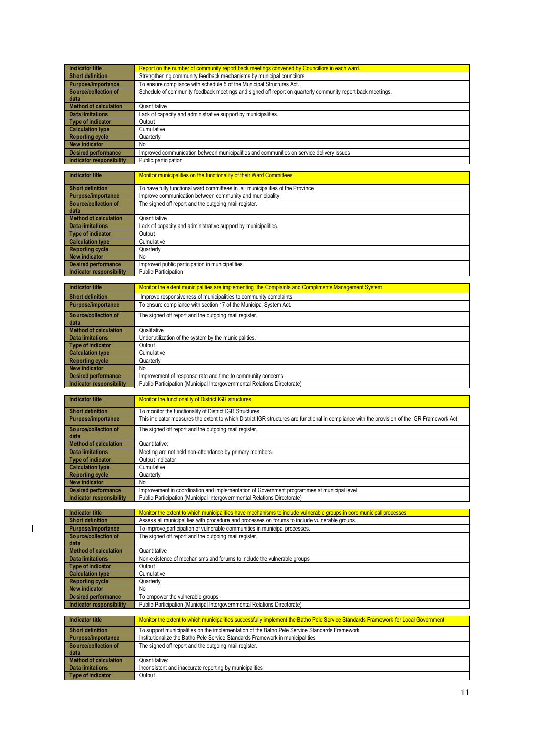| <b>Indicator title</b>                     | Report on the number of community report back meetings convened by Councillors in each ward.                                                 |
|--------------------------------------------|----------------------------------------------------------------------------------------------------------------------------------------------|
| <b>Short definition</b>                    | Strengthening community feedback mechanisms by municipal councilors                                                                          |
| Purpose/importance<br>Source/collection of | To ensure compliance with schedule 5 of the Municipal Structures Act.                                                                        |
| data                                       | Schedule of community feedback meetings and signed off report on quarterly community report back meetings.                                   |
| <b>Method of calculation</b>               | Quantitative                                                                                                                                 |
| <b>Data limitations</b>                    | Lack of capacity and administrative support by municipalities.                                                                               |
| <b>Type of indicator</b>                   | Output                                                                                                                                       |
| <b>Calculation type</b>                    | Cumulative                                                                                                                                   |
| <b>Reporting cycle</b>                     | Quarterly                                                                                                                                    |
| <b>New indicator</b>                       | No                                                                                                                                           |
| <b>Desired performance</b>                 | Improved communication between municipalities and communities on service delivery issues                                                     |
| <b>Indicator responsibility</b>            | Public participation                                                                                                                         |
|                                            |                                                                                                                                              |
| <b>Indicator title</b>                     | Monitor municipalities on the functionality of their Ward Committees                                                                         |
| <b>Short definition</b>                    | To have fully functional ward committees in all municipalities of the Province                                                               |
| Purpose/importance                         | Improve communication between community and municipality.                                                                                    |
| Source/collection of                       | The signed off report and the outgoing mail register.                                                                                        |
| data                                       |                                                                                                                                              |
| <b>Method of calculation</b>               | Quantitative                                                                                                                                 |
| <b>Data limitations</b>                    | Lack of capacity and administrative support by municipalities.                                                                               |
| <b>Type of indicator</b>                   | Output                                                                                                                                       |
| <b>Calculation type</b>                    | Cumulative                                                                                                                                   |
| <b>Reporting cycle</b>                     | Quarterly                                                                                                                                    |
| <b>New indicator</b>                       | No                                                                                                                                           |
| <b>Desired performance</b>                 | Improved public participation in municipalities.                                                                                             |
| <b>Indicator responsibility</b>            | Public Participation                                                                                                                         |
|                                            |                                                                                                                                              |
| <b>Indicator title</b>                     | Monitor the extent municipalities are implementing the Complaints and Compliments Management System                                          |
| <b>Short definition</b>                    | Improve responsiveness of municipalities to community complaints.                                                                            |
| <b>Purpose/importance</b>                  | To ensure compliance with section 17 of the Municipal System Act.                                                                            |
| Source/collection of                       | The signed off report and the outgoing mail register.                                                                                        |
| data                                       |                                                                                                                                              |
| <b>Method of calculation</b>               | Qualitative                                                                                                                                  |
| <b>Data limitations</b>                    | Underutilization of the system by the municipalities                                                                                         |
| <b>Type of indicator</b>                   | Output                                                                                                                                       |
| <b>Calculation type</b>                    | Cumulative                                                                                                                                   |
| <b>Reporting cycle</b>                     | Quarterly                                                                                                                                    |
| <b>New indicator</b>                       | No                                                                                                                                           |
|                                            |                                                                                                                                              |
| <b>Desired performance</b>                 | Improvement of response rate and time to community concerns                                                                                  |
| <b>Indicator responsibility</b>            | Public Participation (Municipal Intergovernmental Relations Directorate)                                                                     |
|                                            |                                                                                                                                              |
| <b>Indicator title</b>                     | Monitor the functionality of District IGR structures                                                                                         |
| <b>Short definition</b>                    | To monitor the functionality of District IGR Structures                                                                                      |
| <b>Purpose/importance</b>                  | This indicator measures the extent to which District IGR structures are functional in compliance with the provision of the IGR Framework Act |
|                                            |                                                                                                                                              |
| Source/collection of<br>data               | The signed off report and the outgoing mail register.                                                                                        |
| <b>Method of calculation</b>               | Quantitative:                                                                                                                                |
| <b>Data limitations</b>                    | Meeting are not held non-attendance by primary members.                                                                                      |
| <b>Type of indicator</b>                   | Output Indicator                                                                                                                             |
| <b>Calculation type</b>                    | Cumulative                                                                                                                                   |
| <b>Reporting cycle</b>                     | Quarterly                                                                                                                                    |
| <b>New indicator</b>                       | No                                                                                                                                           |
| <b>Desired performance</b>                 | Improvement in coordination and implementation of Government programmes at municipal level                                                   |
| <b>Indicator responsibility</b>            | Public Participation (Municipal Intergovernmental Relations Directorate)                                                                     |
|                                            |                                                                                                                                              |
| <b>Indicator title</b>                     | Monitor the extent to which municipalities have mechanisms to include vulnerable groups in core municipal processes                          |
| <b>Short definition</b>                    | Assess all municipalities with procedure and processes on forums to include vulnerable groups.                                               |
| Purpose/importance<br>Source/collection of | To improve participation of vulnerable communities in municipal processes.                                                                   |
| data                                       | The signed off report and the outgoing mail register.                                                                                        |
| <b>Method of calculation</b>               | Quantitative                                                                                                                                 |
| <b>Data limitations</b>                    | Non-existence of mechanisms and forums to include the vulnerable groups                                                                      |
| <b>Type of indicator</b>                   | Output                                                                                                                                       |
| <b>Calculation type</b>                    | Cumulative                                                                                                                                   |
| <b>Reporting cycle</b>                     | Quarterly                                                                                                                                    |
| New indicator                              | No                                                                                                                                           |
| <b>Desired performance</b>                 | To empower the vulnerable groups                                                                                                             |
| <b>Indicator responsibility</b>            | Public Participation (Municipal Intergovernmental Relations Directorate)                                                                     |
|                                            |                                                                                                                                              |
| <b>Indicator title</b>                     | Monitor the extent to which municipalities successfully implement the Batho Pele Service Standards Framework for Local Government            |
| <b>Short definition</b>                    | To support municipalities on the implementation of the Batho Pele Service Standards Framework                                                |
| Purpose/importance<br>Source/collection of | Institutionalize the Batho Pele Service Standards Framework in municipalities<br>The signed off report and the outgoing mail register.       |

**Method of calculation** Quantitative:

**Type of indicator Quantum Output** 

 $\overline{1}$ 

Quantitative:<br>
Inconsistent and inaccurate reporting by municipalities<br>
Output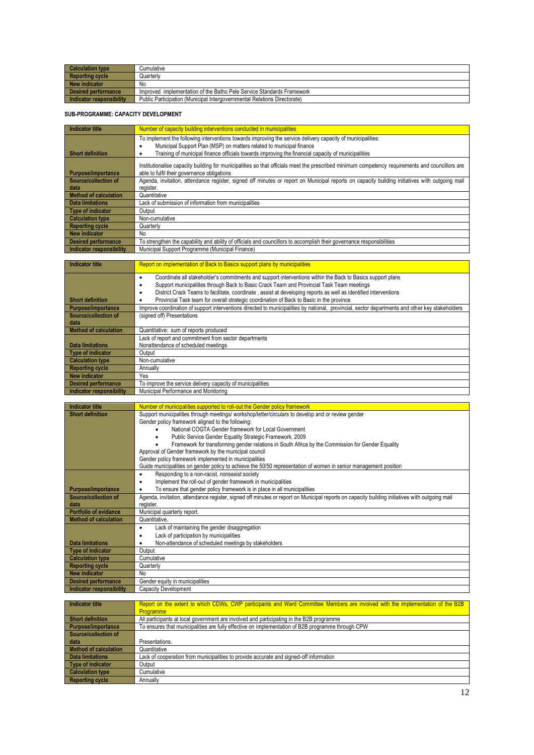| <b>Calculation type</b>  | Cumulative                                                               |
|--------------------------|--------------------------------------------------------------------------|
| <b>Reporting cycle</b>   | Quarterlv                                                                |
| New indicator            | No                                                                       |
| Desired performance      | Improved implementation of the Batho Pele Service Standards Framework    |
| Indicator responsibility | Public Participation (Municipal Intergovernmental Relations Directorate) |

#### **SUB-PROGRAMME: CAPACITY DEVELOPMENT**

| Indicator title              | Number of capacity building interventions conducted in municipalities                                                                                                                          |
|------------------------------|------------------------------------------------------------------------------------------------------------------------------------------------------------------------------------------------|
|                              | To implement the following interventions towards improving the service delivery capacity of municipalities:                                                                                    |
|                              | Municipal Support Plan (MSP) on matters related to municipal finance                                                                                                                           |
| <b>Short definition</b>      | Training of municipal finance officials towards improving the financial capacity of municipalities                                                                                             |
| <b>Purpose/importance</b>    | Institutionalise capacity building for municipalities so that officials meet the prescribed minimum competency requirements and councillors are<br>able to fulfil their governance obligations |
| Source/collection of         | Agenda, invitation, attendance register, signed off minutes or report on Municipal reports on capacity building initiatives with outgoing mail                                                 |
| data                         | register.                                                                                                                                                                                      |
| <b>Method of calculation</b> | Quantitative                                                                                                                                                                                   |
| <b>Data limitations</b>      | Lack of submission of information from municipalities                                                                                                                                          |
| Type of indicator            | Output                                                                                                                                                                                         |
| <b>Calculation type</b>      | Non-cumulative                                                                                                                                                                                 |
| <b>Reporting cycle</b>       | Quarterly                                                                                                                                                                                      |
| New indicator                | No.                                                                                                                                                                                            |
| <b>Desired performance</b>   | To strengthen the capability and ability of officials and councillors to accomplish their governance responsibilities                                                                          |
| Indicator responsibility     | Municipal Support Programme (Municipal Finance)                                                                                                                                                |

| Indicator title              | Report on implementation of Back to Basics support plans by municipalities                                                                                                                                   |
|------------------------------|--------------------------------------------------------------------------------------------------------------------------------------------------------------------------------------------------------------|
|                              | Coordinate all stakeholder's commitments and support interventions within the Back to Basics support plans<br>٠<br>Support municipalities through Back to Basic Crack Team and Provincial Task Team meetings |
|                              | District Crack Teams to facilitate, coordinate, assist at developing reports as well as identified interventions<br>٠                                                                                        |
| <b>Short definition</b>      | Provincial Task team for overall strategic coordination of Back to Basic in the province                                                                                                                     |
| <b>Purpose/importance</b>    | Improve coordination of support interventions directed to municipalities by national, provincial, sector departments and other key stakeholders                                                              |
| Source/collection of         | (signed off) Presentations                                                                                                                                                                                   |
| data                         |                                                                                                                                                                                                              |
| <b>Method of calculation</b> | Quantitative: sum of reports produced                                                                                                                                                                        |
|                              | Lack of report and commitment from sector departments                                                                                                                                                        |
| <b>Data limitations</b>      | Nonattendance of scheduled meetings                                                                                                                                                                          |
| Type of indicator            | Output                                                                                                                                                                                                       |
| <b>Calculation type</b>      | Non-cumulative                                                                                                                                                                                               |
| <b>Reporting cycle</b>       | Annually                                                                                                                                                                                                     |
| New indicator                | Yes                                                                                                                                                                                                          |
| <b>Desired performance</b>   | To improve the service delivery capacity of municipalities                                                                                                                                                   |
| Indicator responsibility     | Municipal Performance and Monitoring                                                                                                                                                                         |

| <b>Indicator title</b>       | Number of municipalities supported to roll-out the Gender policy framework                                                                     |
|------------------------------|------------------------------------------------------------------------------------------------------------------------------------------------|
| <b>Short definition</b>      | Support municipalities through meetings/ workshop/letter/circulars to develop and or review gender                                             |
|                              | Gender policy framework aligned to the following:                                                                                              |
|                              | National COGTA Gender framework for Local Government                                                                                           |
|                              | Public Service Gender Equality Strategic Framework, 2009                                                                                       |
|                              | Framework for transforming gender relations in South Africa by the Commission for Gender Equality                                              |
|                              | Approval of Gender framework by the municipal council                                                                                          |
|                              | Gender policy framework implemented in municipalities                                                                                          |
|                              | Guide municipalities on gender policy to achieve the 50/50 representation of women in senior management position                               |
|                              | Responding to a non-racist, nonsexist society<br>٠                                                                                             |
|                              | Implement the roll-out of gender framework in municipalities                                                                                   |
| Purpose/importance           | To ensure that gender policy framework is in place in all municipalities                                                                       |
| Source/collection of         | Agenda, invitation, attendance register, signed off minutes or report on Municipal reports on capacity building initiatives with outgoing mail |
| data                         | register.                                                                                                                                      |
| <b>Portfolio of evidance</b> | Municipal quarterly report.                                                                                                                    |
| <b>Method of calculation</b> | Quantitative.                                                                                                                                  |
|                              | Lack of maintaining the gender disaggregation                                                                                                  |
|                              | Lack of participation by municipalities                                                                                                        |
| <b>Data limitations</b>      | Non-attendance of scheduled meetings by stakeholders                                                                                           |
| Type of indicator            | Output                                                                                                                                         |
| <b>Calculation type</b>      | Cumulative                                                                                                                                     |
| <b>Reporting cycle</b>       | Quarterly                                                                                                                                      |
| <b>New indicator</b>         | No                                                                                                                                             |
| <b>Desired performance</b>   | Gender equity in municipalities                                                                                                                |
| Indicator responsibility     | Capacity Development                                                                                                                           |

| <b>Indicator title</b>  | Report on the extent to which CDWs, CWP participants and Ward Committee Members are involved with the implementation of the B2B |
|-------------------------|---------------------------------------------------------------------------------------------------------------------------------|
|                         | Programme                                                                                                                       |
| <b>Short definition</b> | All participants at local government are involved and participating in the B2B programme                                        |
| Purpose/importance      | To ensures that municipalities are fully effective on implementation of B2B programme through CPW                               |
| Source/collection of    |                                                                                                                                 |
| data                    | Presentations.                                                                                                                  |
| Method of calculation   | Quantitative                                                                                                                    |
| Data limitations        | Lack of cooperation from municipalities to provide accurate and signed-off information                                          |
| Type of indicator       | Output                                                                                                                          |
| <b>Calculation type</b> | Cumulative                                                                                                                      |
| <b>Reporting cycle</b>  | Annually                                                                                                                        |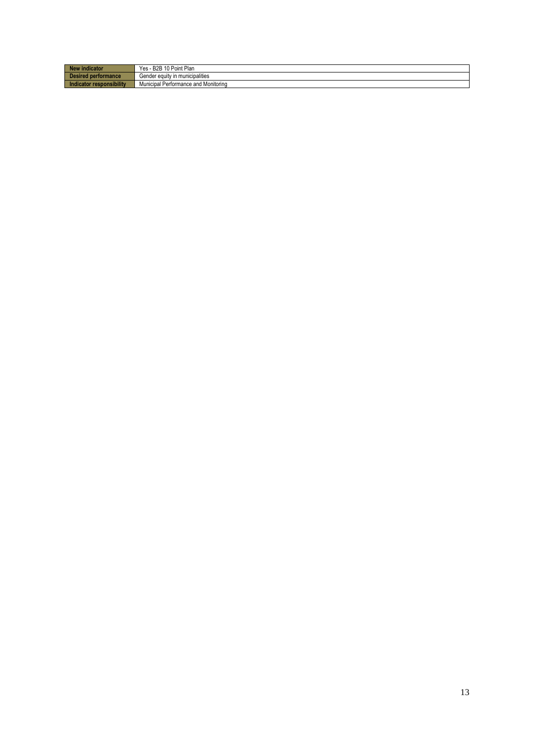| indicator                     | Yes.<br>10 Point Plan<br><b>DOD</b><br><b>BZB</b> |
|-------------------------------|---------------------------------------------------|
| ired performance              | <br>Gender equity in municipalities               |
| cator responsibility<br>Indic | Municipal<br>Performance and Monitoring           |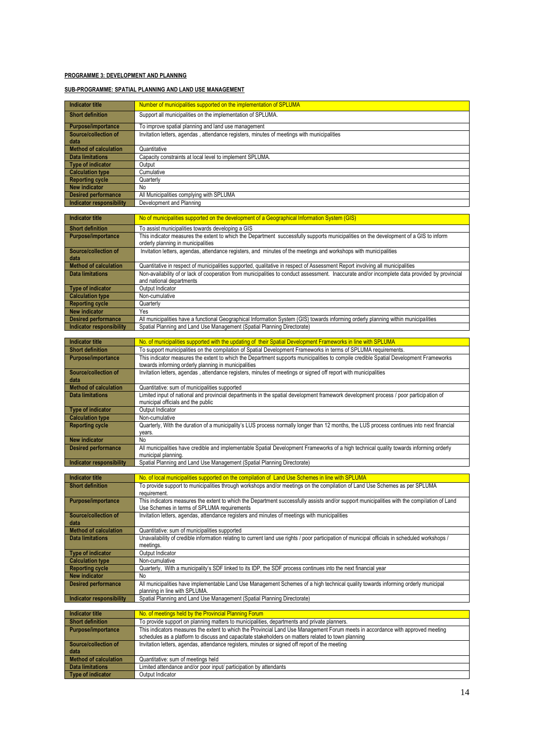#### **PROGRAMME 3: DEVELOPMENT AND PLANNING**

#### **SUB-PROGRAMME: SPATIAL PLANNING AND LAND USE MANAGEMENT**

| <b>Indicator title</b>                                        | Number of municipalities supported on the implementation of SPLUMA                                                                                                                                                                                                              |
|---------------------------------------------------------------|---------------------------------------------------------------------------------------------------------------------------------------------------------------------------------------------------------------------------------------------------------------------------------|
|                                                               |                                                                                                                                                                                                                                                                                 |
| <b>Short definition</b>                                       | Support all municipalities on the implementation of SPLUMA.                                                                                                                                                                                                                     |
| Purpose/importance                                            | To improve spatial planning and land use management                                                                                                                                                                                                                             |
| Source/collection of                                          | Invitation letters, agendas, attendance registers, minutes of meetings with municipalities                                                                                                                                                                                      |
| data<br><b>Method of calculation</b>                          | Quantitative                                                                                                                                                                                                                                                                    |
| <b>Data limitations</b>                                       | Capacity constraints at local level to implement SPLUMA.                                                                                                                                                                                                                        |
| <b>Type of indicator</b>                                      | Output                                                                                                                                                                                                                                                                          |
| <b>Calculation type</b>                                       | Cumulative                                                                                                                                                                                                                                                                      |
| <b>Reporting cycle</b>                                        | Quarterly                                                                                                                                                                                                                                                                       |
| <b>New indicator</b>                                          | No                                                                                                                                                                                                                                                                              |
| <b>Desired performance</b>                                    | All Municipalities complying with SPLUMA<br>Development and Planning                                                                                                                                                                                                            |
| <b>Indicator responsibility</b>                               |                                                                                                                                                                                                                                                                                 |
| <b>Indicator title</b>                                        | No of municipalities supported on the development of a Geographical Information System (GIS)                                                                                                                                                                                    |
| <b>Short definition</b>                                       | To assist municipalities towards developing a GIS                                                                                                                                                                                                                               |
| Purpose/importance                                            | This indicator measures the extent to which the Department successfully supports municipalities on the development of a GIS to inform                                                                                                                                           |
|                                                               | orderly planning in municipalities                                                                                                                                                                                                                                              |
| Source/collection of                                          | Invitation letters, agendas, attendance registers, and minutes of the meetings and workshops with municipalities                                                                                                                                                                |
| data                                                          |                                                                                                                                                                                                                                                                                 |
| <b>Method of calculation</b><br><b>Data limitations</b>       | Quantitative in respect of municipalities supported, qualitative in respect of Assessment Report involving all municipalities<br>Non-availability of or lack of cooperation from municipalities to conduct assessment. Inaccurate and/or incomplete data provided by provincial |
|                                                               | and national departments                                                                                                                                                                                                                                                        |
| <b>Type of indicator</b>                                      | Output Indicator                                                                                                                                                                                                                                                                |
| <b>Calculation type</b>                                       | Non-cumulative                                                                                                                                                                                                                                                                  |
| <b>Reporting cycle</b>                                        | Quarterly                                                                                                                                                                                                                                                                       |
| <b>New indicator</b>                                          | Yes                                                                                                                                                                                                                                                                             |
| <b>Desired performance</b><br><b>Indicator responsibility</b> | All municipalities have a functional Geographical Information System (GIS) towards informing orderly planning within municipalities<br>Spatial Planning and Land Use Management (Spatial Planning Directorate)                                                                  |
|                                                               |                                                                                                                                                                                                                                                                                 |
| <b>Indicator title</b>                                        | No. of municipalities supported with the updating of their Spatial Development Frameworks in line with SPLUMA                                                                                                                                                                   |
| <b>Short definition</b>                                       | To support municipalities on the compilation of Spatial Development Frameworks in terms of SPLUMA requirements.                                                                                                                                                                 |
| Purpose/importance                                            | This indicator measures the extent to which the Department supports municipalities to compile credible Spatial Development Frameworks                                                                                                                                           |
| Source/collection of                                          | towards informing orderly planning in municipalities                                                                                                                                                                                                                            |
| data                                                          | Invitation letters, agendas, attendance registers, minutes of meetings or signed off report with municipalities                                                                                                                                                                 |
| <b>Method of calculation</b>                                  | Quantitative: sum of municipalities supported                                                                                                                                                                                                                                   |
| <b>Data limitations</b>                                       | Limited input of national and provincial departments in the spatial development framework development process / poor participation of                                                                                                                                           |
|                                                               | municipal officials and the public                                                                                                                                                                                                                                              |
| <b>Type of indicator</b>                                      | Output Indicator<br>Non-cumulative                                                                                                                                                                                                                                              |
| <b>Calculation type</b><br><b>Reporting cycle</b>             | Quarterly, With the duration of a municipality's LUS process normally longer than 12 months, the LUS process continues into next financial                                                                                                                                      |
|                                                               | years.                                                                                                                                                                                                                                                                          |
| <b>New indicator</b>                                          | No                                                                                                                                                                                                                                                                              |
| <b>Desired performance</b>                                    | All municipalities have credible and implementable Spatial Development Frameworks of a high technical quality towards informing orderly                                                                                                                                         |
| Indicator responsibility                                      | municipal planning.<br>Spatial Planning and Land Use Management (Spatial Planning Directorate)                                                                                                                                                                                  |
|                                                               |                                                                                                                                                                                                                                                                                 |
| Indicator title                                               | No. of local municipalities supported on the compilation of Land Use Schemes in line with SPLUMA                                                                                                                                                                                |
| <b>Short definition</b>                                       | To provide support to municipalities through workshops and/or meetings on the compilation of Land Use Schemes as per SPLUMA                                                                                                                                                     |
| <b>Purpose/importance</b>                                     | requirement.<br>This indicators measures the extent to which the Department successfully assists and/or support municipalities with the compilation of Land                                                                                                                     |
|                                                               | Use Schemes in terms of SPLUMA requirements                                                                                                                                                                                                                                     |
| Source/collection of                                          | Invitation letters, agendas, attendance registers and minutes of meetings with municipalities                                                                                                                                                                                   |
| data                                                          |                                                                                                                                                                                                                                                                                 |
| <b>Method of calculation</b>                                  | Quantitative: sum of municipalities supported                                                                                                                                                                                                                                   |
| <b>Data limitations</b>                                       | Unavailability of credible information relating to current land use rights / poor participation of municipal officials in scheduled workshops /<br>meetings.                                                                                                                    |
| <b>Type of indicator</b>                                      | Output Indicator                                                                                                                                                                                                                                                                |
| <b>Calculation type</b>                                       | Non-cumulative                                                                                                                                                                                                                                                                  |
| <b>Reporting cycle</b>                                        | Quarterly, With a municipality's SDF linked to its IDP, the SDF process continues into the next financial year                                                                                                                                                                  |
| <b>New indicator</b>                                          | No                                                                                                                                                                                                                                                                              |
| <b>Desired performance</b>                                    | All municipalities have implementable Land Use Management Schemes of a high technical quality towards informing orderly municipal<br>planning in line with SPLUMA.                                                                                                              |
| Indicator responsibility                                      | Spatial Planning and Land Use Management (Spatial Planning Directorate)                                                                                                                                                                                                         |
|                                                               |                                                                                                                                                                                                                                                                                 |
| <b>Indicator title</b>                                        | No. of meetings held by the Provincial Planning Forum                                                                                                                                                                                                                           |
| <b>Short definition</b>                                       | To provide support on planning matters to municipalities, departments and private planners.                                                                                                                                                                                     |
| Purpose/importance                                            | This indicators measures the extent to which the Provincial Land Use Management Forum meets in accordance with approved meeting<br>schedules as a platform to discuss and capacitate stakeholders on matters related to town planning                                           |
| Source/collection of                                          | Invitation letters, agendas, attendance registers, minutes or signed off report of the meeting                                                                                                                                                                                  |
| data                                                          |                                                                                                                                                                                                                                                                                 |
| <b>Method of calculation</b>                                  | Quantitative: sum of meetings held                                                                                                                                                                                                                                              |
| <b>Data limitations</b>                                       | Limited attendance and/or poor input/ participation by attendants                                                                                                                                                                                                               |
| <b>Type of indicator</b>                                      | Output Indicator                                                                                                                                                                                                                                                                |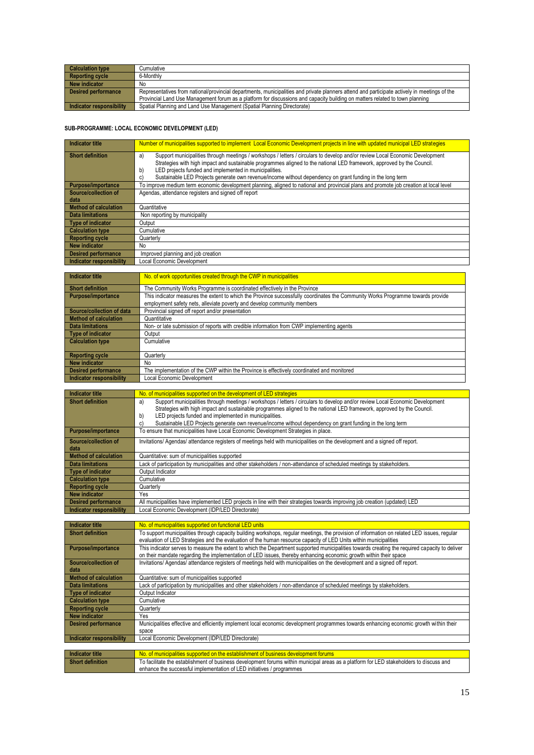| <b>Calculation type</b>  | Cumulative                                                                                                                                   |
|--------------------------|----------------------------------------------------------------------------------------------------------------------------------------------|
| <b>Reporting cycle</b>   | 6-Monthly                                                                                                                                    |
| New indicator            | No.                                                                                                                                          |
| Desired performance      | Representatives from national/provincial departments, municipalities and private planners attend and participate actively in meetings of the |
|                          | Provincial Land Use Management forum as a platform for discussions and capacity building on matters related to town planning                 |
| Indicator responsibility | Spatial Planning and Land Use Management (Spatial Planning Directorate)                                                                      |

#### **SUB-PROGRAMME: LOCAL ECONOMIC DEVELOPMENT (LED)**

| Indicator title              | Number of municipalities supported to implement Local Economic Development projects in line with updated municipal LED strategies      |
|------------------------------|----------------------------------------------------------------------------------------------------------------------------------------|
| <b>Short definition</b>      | Support municipalities through meetings / workshops / letters / circulars to develop and/or review Local Economic Development<br>a)    |
|                              | Strategies with high impact and sustainable programmes aligned to the national LED framework, approved by the Council.                 |
|                              | LED projects funded and implemented in municipalities.<br>b)                                                                           |
|                              | Sustainable LED Projects generate own revenue/income without dependency on grant funding in the long term                              |
|                              | C)                                                                                                                                     |
| Purpose/importance           | To improve medium term economic development planning, aligned to national and provincial plans and promote job creation at local level |
| Source/collection of         | Agendas, attendance registers and signed off report                                                                                    |
| data                         |                                                                                                                                        |
| <b>Method of calculation</b> | Quantitative                                                                                                                           |
| <b>Data limitations</b>      | Non reporting by municipality                                                                                                          |
| Type of indicator            | Output                                                                                                                                 |
| <b>Calculation type</b>      | Cumulative                                                                                                                             |
| <b>Reporting cycle</b>       | Quarterly                                                                                                                              |
| New indicator                | No                                                                                                                                     |
| <b>Desired performance</b>   | Improved planning and job creation                                                                                                     |
| Indicator responsibility     | Local Economic Development                                                                                                             |
|                              |                                                                                                                                        |

| Indicator title            | No. of work opportunities created through the CWP in municipalities                                                             |
|----------------------------|---------------------------------------------------------------------------------------------------------------------------------|
| <b>Short definition</b>    | The Community Works Programme is coordinated effectively in the Province                                                        |
| <b>Purpose/importance</b>  | This indicator measures the extent to which the Province successfully coordinates the Community Works Programme towards provide |
|                            | employment safety nets, alleviate poverty and develop community members                                                         |
| Source/collection of data  | Provincial signed off report and/or presentation                                                                                |
| Method of calculation      | Quantitative                                                                                                                    |
| <b>Data limitations</b>    | Non- or late submission of reports with credible information from CWP implementing agents                                       |
| Type of indicator          | Output                                                                                                                          |
| Calculation type           | Cumulative                                                                                                                      |
|                            |                                                                                                                                 |
| Reporting cycle            | Quarterly                                                                                                                       |
| New indicator              | No.                                                                                                                             |
| <b>Desired performance</b> | The implementation of the CWP within the Province is effectively coordinated and monitored                                      |
| Indicator responsibility   | Local Economic Development                                                                                                      |

| <b>Indicator title</b>       | No. of municipalities supported on the development of LED strategies                                                                |
|------------------------------|-------------------------------------------------------------------------------------------------------------------------------------|
| <b>Short definition</b>      | Support municipalities through meetings / workshops / letters / circulars to develop and/or review Local Economic Development<br>a) |
|                              | Strategies with high impact and sustainable programmes aligned to the national LED framework, approved by the Council.              |
|                              | LED projects funded and implemented in municipalities.<br>b)                                                                        |
|                              | Sustainable LED Projects generate own revenue/income without dependency on grant funding in the long term<br>C)                     |
| <b>Purpose/importance</b>    | To ensure that municipalities have Local Economic Development Strategies in place.                                                  |
| Source/collection of         | Invitations/ Agendas/ attendance registers of meetings held with municipalities on the development and a signed off report.         |
| data                         |                                                                                                                                     |
| <b>Method of calculation</b> | Quantitative: sum of municipalities supported                                                                                       |
| Data limitations             | Lack of participation by municipalities and other stakeholders / non-attendance of scheduled meetings by stakeholders.              |
| Type of indicator            | Output Indicator                                                                                                                    |
| <b>Calculation type</b>      | Cumulative                                                                                                                          |
| <b>Reporting cycle</b>       | Quarterly                                                                                                                           |
| <b>New indicator</b>         | Yes                                                                                                                                 |
| <b>Desired performance</b>   | All municipalities have implemented LED projects in line with their strategies towards improving job creation (updated) LED         |
| Indicator responsibility     | Local Economic Development (IDP/LED Directorate)                                                                                    |

| Indicator title              | No. of municipalities supported on functional LED units                                                                                        |
|------------------------------|------------------------------------------------------------------------------------------------------------------------------------------------|
| <b>Short definition</b>      | To support municipalities through capacity building workshops, regular meetings, the provision of information on related LED issues, regular   |
|                              | evaluation of LED Strategies and the evaluation of the human resource capacity of LED Units within municipalities                              |
| Purpose/importance           | This indicator serves to measure the extent to which the Department supported municipalities towards creating the required capacity to deliver |
|                              | on their mandate regarding the implementation of LED issues, thereby enhancing economic growth within their space                              |
| Source/collection of         | Invitations/Agendas/attendance registers of meetings held with municipalities on the development and a signed off report.                      |
| data                         |                                                                                                                                                |
| <b>Method of calculation</b> | Quantitative: sum of municipalities supported                                                                                                  |
| <b>Data limitations</b>      | Lack of participation by municipalities and other stakeholders / non-attendance of scheduled meetings by stakeholders.                         |
| Type of indicator            | Output Indicator                                                                                                                               |
| <b>Calculation type</b>      | Cumulative                                                                                                                                     |
| <b>Reporting cycle</b>       | Quarterly                                                                                                                                      |
| New indicator                | Yes                                                                                                                                            |
| <b>Desired performance</b>   | Municipalities effective and efficiently implement local economic development programmes towards enhancing economic growth within their        |
|                              | space                                                                                                                                          |
| Indicator responsibility     | Local Economic Development (IDP/LED Directorate)                                                                                               |
|                              |                                                                                                                                                |
| Indicator title              | No. of municipalities supported on the establishment of business development forums                                                            |
| <b>Short definition</b>      | To facilitate the establishment of business development forums within municipal areas as a platform for LED stakeholders to discuss and        |

enhance the successful implementation of LED initiatives / programmes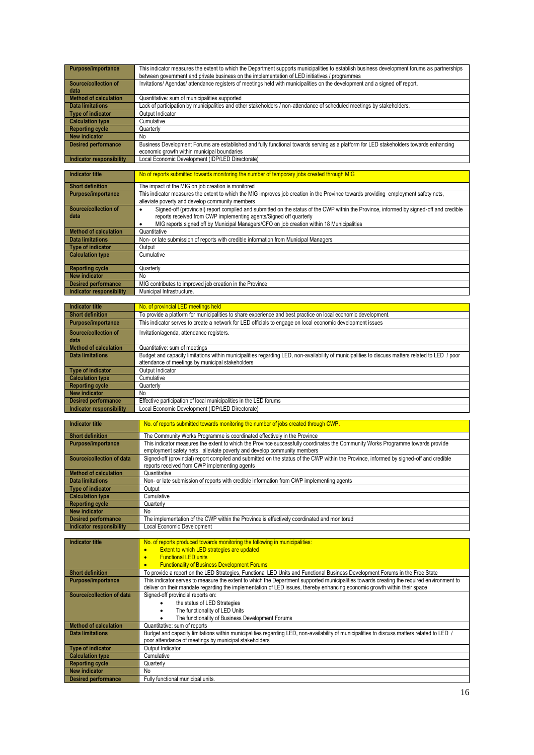| <b>Purpose/importance</b>       | This indicator measures the extent to which the Department supports municipalities to establish business development forums as partnerships<br>between government and private business on the implementation of LED initiatives / programmes |
|---------------------------------|----------------------------------------------------------------------------------------------------------------------------------------------------------------------------------------------------------------------------------------------|
| Source/collection of<br>data    | Invitations/Agendas/attendance registers of meetings held with municipalities on the development and a signed off report.                                                                                                                    |
| <b>Method of calculation</b>    | Quantitative: sum of municipalities supported                                                                                                                                                                                                |
| Data limitations                | Lack of participation by municipalities and other stakeholders / non-attendance of scheduled meetings by stakeholders.                                                                                                                       |
| <b>Type of indicator</b>        | Output Indicator                                                                                                                                                                                                                             |
| <b>Calculation type</b>         | Cumulative                                                                                                                                                                                                                                   |
| <b>Reporting cycle</b>          | Quarterly                                                                                                                                                                                                                                    |
| New indicator                   | No                                                                                                                                                                                                                                           |
| <b>Desired performance</b>      | Business Development Forums are established and fully functional towards serving as a platform for LED stakeholders towards enhancing                                                                                                        |
|                                 | economic growth within municipal boundaries                                                                                                                                                                                                  |
| <b>Indicator responsibility</b> | Local Economic Development (IDP/LED Directorate)                                                                                                                                                                                             |

| <b>Indicator title</b>          | No of reports submitted towards monitoring the number of temporary jobs created through MIG                                                                                                                                                                                                                          |
|---------------------------------|----------------------------------------------------------------------------------------------------------------------------------------------------------------------------------------------------------------------------------------------------------------------------------------------------------------------|
| <b>Short definition</b>         | The impact of the MIG on job creation is monitored                                                                                                                                                                                                                                                                   |
| <b>Purpose/importance</b>       | This indicator measures the extent to which the MIG improves job creation in the Province towards providing employment safety nets,<br>alleviate poverty and develop community members                                                                                                                               |
| Source/collection of<br>data    | Signed-off (provincial) report compiled and submitted on the status of the CWP within the Province, informed by signed-off and credible<br>٠<br>reports received from CWP implementing agents/Signed off quarterly<br>MIG reports signed off by Municipal Managers/CFO on job creation within 18 Municipalities<br>٠ |
| <b>Method of calculation</b>    | Quantitative                                                                                                                                                                                                                                                                                                         |
| <b>Data limitations</b>         | Non- or late submission of reports with credible information from Municipal Managers                                                                                                                                                                                                                                 |
| Type of indicator               | Output                                                                                                                                                                                                                                                                                                               |
| <b>Calculation type</b>         | Cumulative                                                                                                                                                                                                                                                                                                           |
| <b>Reporting cycle</b>          | Quarterly                                                                                                                                                                                                                                                                                                            |
| New indicator                   | No                                                                                                                                                                                                                                                                                                                   |
| <b>Desired performance</b>      | MIG contributes to improved job creation in the Province                                                                                                                                                                                                                                                             |
| <b>Indicator responsibility</b> | Municipal Infrastructure.                                                                                                                                                                                                                                                                                            |

| Indicator title              | No. of provincial LED meetings held                                                                                                                                                                  |
|------------------------------|------------------------------------------------------------------------------------------------------------------------------------------------------------------------------------------------------|
| <b>Short definition</b>      | To provide a platform for municipalities to share experience and best practice on local economic development.                                                                                        |
| <b>Purpose/importance</b>    | This indicator serves to create a network for LED officials to engage on local economic development issues                                                                                           |
| Source/collection of<br>data | Invitation/agenda, attendance registers.                                                                                                                                                             |
| Method of calculation        | Quantitative: sum of meetings                                                                                                                                                                        |
| Data limitations             | Budget and capacity limitations within municipalities regarding LED, non-availability of municipalities to discuss matters related to LED / poor<br>attendance of meetings by municipal stakeholders |
| Type of indicator            | Output Indicator                                                                                                                                                                                     |
| <b>Calculation type</b>      | Cumulative                                                                                                                                                                                           |
| Reporting cycle              | Quarterly                                                                                                                                                                                            |
| New indicator                | No.                                                                                                                                                                                                  |
| <b>Desired performance</b>   | Effective participation of local municipalities in the LED forums                                                                                                                                    |
| Indicator responsibility     | Local Economic Development (IDP/LED Directorate)                                                                                                                                                     |

| Indicator title                 | No. of reports submitted towards monitoring the number of jobs created through CWP.                                                     |
|---------------------------------|-----------------------------------------------------------------------------------------------------------------------------------------|
| <b>Short definition</b>         | The Community Works Programme is coordinated effectively in the Province                                                                |
| <b>Purpose/importance</b>       | This indicator measures the extent to which the Province successfully coordinates the Community Works Programme towards provide         |
|                                 | employment safety nets, alleviate poverty and develop community members                                                                 |
| Source/collection of data       | Signed-off (provincial) report compiled and submitted on the status of the CWP within the Province, informed by signed-off and credible |
|                                 | reports received from CWP implementing agents                                                                                           |
| <b>Method of calculation</b>    | Quantitative                                                                                                                            |
| <b>Data limitations</b>         | Non- or late submission of reports with credible information from CWP implementing agents                                               |
| <b>Type of indicator</b>        | Output                                                                                                                                  |
| <b>Calculation type</b>         | Cumulative                                                                                                                              |
| <b>Reporting cycle</b>          | Quarterly                                                                                                                               |
| <b>New indicator</b>            | No                                                                                                                                      |
| <b>Desired performance</b>      | The implementation of the CWP within the Province is effectively coordinated and monitored                                              |
| <b>Indicator responsibility</b> | Local Economic Development                                                                                                              |

| Indicator title              | No. of reports produced towards monitoring the following in municipalities:                                                               |
|------------------------------|-------------------------------------------------------------------------------------------------------------------------------------------|
|                              | Extent to which LED strategies are updated                                                                                                |
|                              | <b>Functional LED units</b>                                                                                                               |
|                              | <b>Functionality of Business Development Forums</b>                                                                                       |
| <b>Short definition</b>      | To provide a report on the LED Strategies, Functional LED Units and Functional Business Development Forums in the Free State              |
| <b>Purpose/importance</b>    | This indicator serves to measure the extent to which the Department supported municipalities towards creating the required environment to |
|                              | deliver on their mandate regarding the implementation of LED issues, thereby enhancing economic growth within their space                 |
| Source/collection of data    | Signed-off provincial reports on:                                                                                                         |
|                              | the status of LED Strategies                                                                                                              |
|                              | The functionality of LED Units                                                                                                            |
|                              | The functionality of Business Development Forums                                                                                          |
| <b>Method of calculation</b> | Quantitative: sum of reports                                                                                                              |
| <b>Data limitations</b>      | Budget and capacity limitations within municipalities regarding LED, non-availability of municipalities to discuss matters related to LED |
|                              | poor attendance of meetings by municipal stakeholders                                                                                     |
| <b>Type of indicator</b>     | Output Indicator                                                                                                                          |
| <b>Calculation type</b>      | Cumulative                                                                                                                                |
| <b>Reporting cycle</b>       | Quarterly                                                                                                                                 |
| <b>New indicator</b>         | No                                                                                                                                        |
| <b>Desired performance</b>   | Fully functional municipal units.                                                                                                         |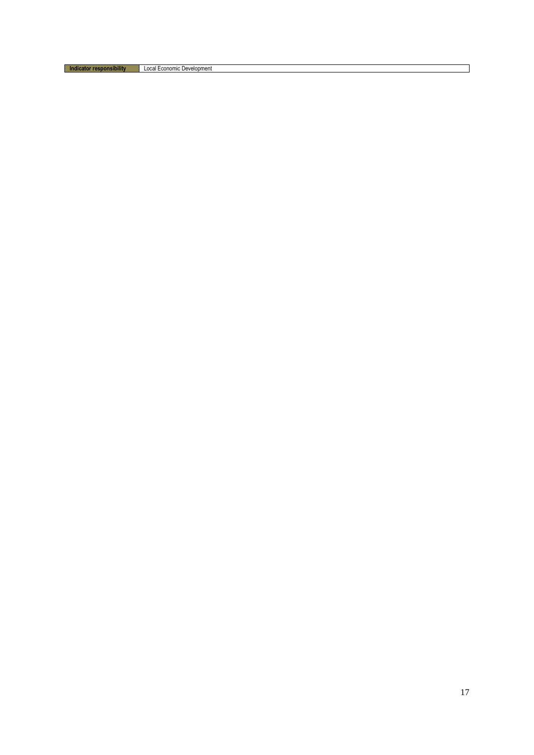**Indicator responsibility** Local Economic Development

 $\sim$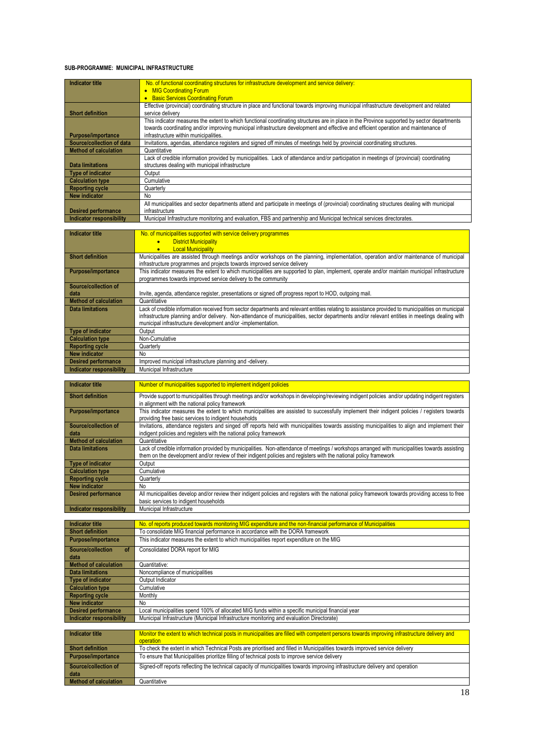#### **SUB-PROGRAMME: MUNICIPAL INFRASTRUCTURE**

| <b>Indicator title</b>          | No. of functional coordinating structures for infrastructure development and service delivery:                                              |
|---------------------------------|---------------------------------------------------------------------------------------------------------------------------------------------|
|                                 | • MIG Coordinating Forum                                                                                                                    |
|                                 | <b>Basic Services Coordinating Forum</b>                                                                                                    |
|                                 | Effective (provincial) coordinating structure in place and functional towards improving municipal infrastructure development and related    |
| <b>Short definition</b>         | service delivery                                                                                                                            |
|                                 | This indicator measures the extent to which functional coordinating structures are in place in the Province supported by sector departments |
|                                 | towards coordinating and/or improving municipal infrastructure development and effective and efficient operation and maintenance of         |
| <b>Purpose/importance</b>       | infrastructure within municipalities.                                                                                                       |
| Source/collection of data       | Invitations, agendas, attendance registers and signed off minutes of meetings held by provincial coordinating structures.                   |
| <b>Method of calculation</b>    | Quantitative                                                                                                                                |
|                                 | Lack of credible information provided by municipalities. Lack of attendance and/or participation in meetings of (provincial) coordinating   |
| <b>Data limitations</b>         | structures dealing with municipal infrastructure                                                                                            |
| <b>Type of indicator</b>        | Output                                                                                                                                      |
| <b>Calculation type</b>         | Cumulative                                                                                                                                  |
| <b>Reporting cycle</b>          | Quarterly                                                                                                                                   |
| <b>New indicator</b>            | No                                                                                                                                          |
|                                 | All municipalities and sector departments attend and participate in meetings of (provincial) coordinating structures dealing with municipal |
| <b>Desired performance</b>      | infrastructure                                                                                                                              |
| <b>Indicator responsibility</b> | Municipal Infrastructure monitoring and evaluation, FBS and partnership and Municipal technical services directorates.                      |

| <b>Indicator title</b>          | No. of municipalities supported with service delivery programmes                                                                                   |
|---------------------------------|----------------------------------------------------------------------------------------------------------------------------------------------------|
|                                 | <b>District Municipality</b><br>$\bullet$                                                                                                          |
|                                 | <b>Local Municipality</b><br>$\bullet$                                                                                                             |
| <b>Short definition</b>         | Municipalities are assisted through meetings and/or workshops on the planning, implementation, operation and/or maintenance of municipal           |
|                                 | infrastructure programmes and projects towards improved service delivery                                                                           |
| <b>Purpose/importance</b>       | This indicator measures the extent to which municipalities are supported to plan, implement, operate and/or maintain municipal infrastructure      |
|                                 | programmes towards improved service delivery to the community                                                                                      |
| Source/collection of            |                                                                                                                                                    |
| data                            | Invite, agenda, attendance register, presentations or signed off progress report to HOD, outgoing mail.                                            |
| <b>Method of calculation</b>    | Quantitative                                                                                                                                       |
| <b>Data limitations</b>         | Lack of credible information received from sector departments and relevant entities relating to assistance provided to municipalities on municipal |
|                                 | infrastructure planning and/or delivery. Non-attendance of municipalities, sector departments and/or relevant entities in meetings dealing with    |
|                                 | municipal infrastructure development and/or -implementation.                                                                                       |
| <b>Type of indicator</b>        | Output                                                                                                                                             |
| <b>Calculation type</b>         | Non-Cumulative                                                                                                                                     |
| <b>Reporting cycle</b>          | Quarterly                                                                                                                                          |
| <b>New indicator</b>            | No                                                                                                                                                 |
| <b>Desired performance</b>      | Improved municipal infrastructure planning and -delivery.                                                                                          |
| <b>Indicator responsibility</b> | Municipal Infrastructure                                                                                                                           |
|                                 |                                                                                                                                                    |

| <b>Indicator title</b>       | Number of municipalities supported to implement indigent policies                                                                                                                                                                                                   |
|------------------------------|---------------------------------------------------------------------------------------------------------------------------------------------------------------------------------------------------------------------------------------------------------------------|
| <b>Short definition</b>      | Provide support to municipalities through meetings and/or workshops in developing/reviewing indigent policies and/or updating indigent registers<br>in alignment with the national policy framework                                                                 |
| <b>Purpose/importance</b>    | This indicator measures the extent to which municipalities are assisted to successfully implement their indigent policies / registers towards<br>providing free basic services to indigent households                                                               |
| Source/collection of<br>data | Invitations, attendance registers and singed off reports held with municipalities towards assisting municipalities to align and implement their<br>indigent policies and registers with the national policy framework                                               |
| <b>Method of calculation</b> | Quantitative                                                                                                                                                                                                                                                        |
| <b>Data limitations</b>      | Lack of credible information provided by municipalities. Non-attendance of meetings / workshops arranged with municipalities towards assisting<br>them on the development and/or review of their indigent policies and registers with the national policy framework |
| <b>Type of indicator</b>     | Output                                                                                                                                                                                                                                                              |
| <b>Calculation type</b>      | Cumulative                                                                                                                                                                                                                                                          |
| <b>Reporting cycle</b>       | Quarterly                                                                                                                                                                                                                                                           |
| <b>New indicator</b>         | No                                                                                                                                                                                                                                                                  |
| <b>Desired performance</b>   | All municipalities develop and/or review their indigent policies and registers with the national policy framework towards providing access to free<br>basic services to indigent households                                                                         |
| Indicator responsibility     | Municipal Infrastructure                                                                                                                                                                                                                                            |

| <b>Indicator title</b>          | No. of reports produced towards monitoring MIG expenditure and the non-financial performance of Municipalities                                |
|---------------------------------|-----------------------------------------------------------------------------------------------------------------------------------------------|
| <b>Short definition</b>         | To consolidate MIG financial performance in accordance with the DORA framework                                                                |
| <b>Purpose/importance</b>       | This indicator measures the extent to which municipalities report expenditure on the MIG                                                      |
| Source/collection<br>of         | Consolidated DORA report for MIG                                                                                                              |
| data                            |                                                                                                                                               |
| <b>Method of calculation</b>    | Quantitative:                                                                                                                                 |
| <b>Data limitations</b>         | Noncompliance of municipalities                                                                                                               |
| <b>Type of indicator</b>        | Output Indicator                                                                                                                              |
| <b>Calculation type</b>         | Cumulative                                                                                                                                    |
| <b>Reporting cycle</b>          | Monthly                                                                                                                                       |
| <b>New indicator</b>            | No                                                                                                                                            |
| <b>Desired performance</b>      | Local municipalities spend 100% of allocated MIG funds within a specific municipal financial year                                             |
| <b>Indicator responsibility</b> | Municipal Infrastructure (Municipal Infrastructure monitoring and evaluation Directorate)                                                     |
|                                 |                                                                                                                                               |
| <b>Indicator title</b>          | Monitor the extent to which technical posts in municipalities are filled with competent persons towards improving infrastructure delivery and |

| i indicator title     | <u>Monitor the extent to which technical bosts in municipalities are filled with competent bersons fowards improving infrastructure delivery and intrastructure of the state of and intrastructure of the state of and</u><br>operation |
|-----------------------|-----------------------------------------------------------------------------------------------------------------------------------------------------------------------------------------------------------------------------------------|
| Short definition      | To check the extent in which Technical Posts are prioritised and filled in Municipalities towards improved service delivery                                                                                                             |
| Purpose/importance    | To ensure that Municipalities prioritize filling of technical posts to improve service delivery                                                                                                                                         |
| Source/collection of  | Signed-off reports reflecting the technical capacity of municipalities towards improving infrastructure delivery and operation                                                                                                          |
| data                  |                                                                                                                                                                                                                                         |
| Method of calculation | Quantitative                                                                                                                                                                                                                            |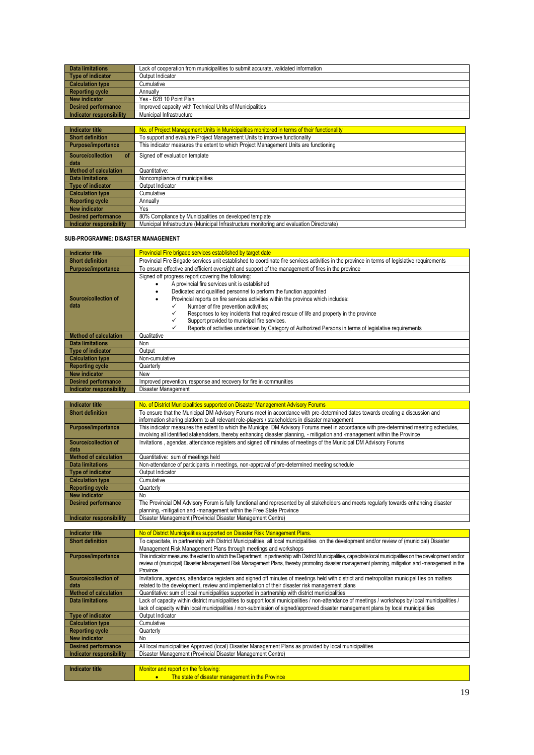| <b>Data limitations</b>  | Lack of cooperation from municipalities to submit accurate, validated information |
|--------------------------|-----------------------------------------------------------------------------------|
| Type of indicator        | Output Indicator                                                                  |
| <b>Calculation type</b>  | Cumulative                                                                        |
| Reporting cycle          | Annually                                                                          |
| New indicator            | Yes - B2B 10 Point Plan                                                           |
| Desired performance      | Improved capacity with Technical Units of Municipalities                          |
| Indicator responsibility | Municipal Infrastructure                                                          |
|                          |                                                                                   |

| <b>Indicator title</b>       | No. of Project Management Units in Municipalities monitored in terms of their functionality |
|------------------------------|---------------------------------------------------------------------------------------------|
| <b>Short definition</b>      | To support and evaluate Project Management Units to improve functionality                   |
| <b>Purpose/importance</b>    | This indicator measures the extent to which Project Management Units are functioning        |
| Source/collection<br>o       | Signed off evaluation template                                                              |
| data                         |                                                                                             |
| <b>Method of calculation</b> | Quantitative:                                                                               |
| <b>Data limitations</b>      | Noncompliance of municipalities                                                             |
| Type of indicator            | Output Indicator                                                                            |
| <b>Calculation type</b>      | Cumulative                                                                                  |
| <b>Reporting cycle</b>       | Annually                                                                                    |
| <b>New indicator</b>         | Yes                                                                                         |
| <b>Desired performance</b>   | 80% Compliance by Municipalities on developed template                                      |
| Indicator responsibility     | Municipal Infrastructure (Municipal Infrastructure monitoring and evaluation Directorate)   |

#### **SUB-PROGRAMME: DISASTER MANAGEMENT**

**New indicator No** 

| <b>Indicator title</b>                         | <b>Provincial Fire brigade services established by target date</b>                                                                                                                                                                |
|------------------------------------------------|-----------------------------------------------------------------------------------------------------------------------------------------------------------------------------------------------------------------------------------|
| <b>Short definition</b>                        | Provincial Fire Brigade services unit established to coordinate fire services activities in the province in terms of legislative requirements                                                                                     |
|                                                | To ensure effective and efficient oversight and support of the management of fires in the province                                                                                                                                |
| Purpose/importance                             | Signed off progress report covering the following:                                                                                                                                                                                |
|                                                | A provincial fire services unit is established                                                                                                                                                                                    |
|                                                |                                                                                                                                                                                                                                   |
| Source/collection of                           | Dedicated and qualified personnel to perform the function appointed<br>Provincial reports on fire services activities within the province which includes:                                                                         |
| data                                           | ✓                                                                                                                                                                                                                                 |
|                                                | Number of fire prevention activities;<br>✓                                                                                                                                                                                        |
|                                                | Responses to key incidents that required rescue of life and property in the province<br>✓<br>Support provided to municipal fire services.                                                                                         |
|                                                | ✓<br>Reports of activities undertaken by Category of Authorized Persons in terms of legislative requirements                                                                                                                      |
| <b>Method of calculation</b>                   | Qualitative                                                                                                                                                                                                                       |
| <b>Data limitations</b>                        | Non                                                                                                                                                                                                                               |
| <b>Type of indicator</b>                       | Output                                                                                                                                                                                                                            |
|                                                | Non-cumulative                                                                                                                                                                                                                    |
| <b>Calculation type</b>                        |                                                                                                                                                                                                                                   |
| <b>Reporting cycle</b><br><b>New indicator</b> | Quarterly<br>New                                                                                                                                                                                                                  |
|                                                |                                                                                                                                                                                                                                   |
| <b>Desired performance</b>                     | Improved prevention, response and recovery for fire in communities                                                                                                                                                                |
| <b>Indicator responsibility</b>                | Disaster Management                                                                                                                                                                                                               |
| <b>Indicator title</b>                         |                                                                                                                                                                                                                                   |
|                                                | No. of District Municipalities supported on Disaster Management Advisory Forums                                                                                                                                                   |
| <b>Short definition</b>                        | To ensure that the Municipal DM Advisory Forums meet in accordance with pre-determined dates towards creating a discussion and<br>information sharing platform to all relevant role-players / stakeholders in disaster management |
| Purpose/importance                             | This indicator measures the extent to which the Municipal DM Advisory Forums meet in accordance with pre-determined meeting schedules,                                                                                            |
|                                                | involving all identified stakeholders, thereby enhancing disaster planning, - mitigation and -management within the Province                                                                                                      |
| Source/collection of                           | Invitations, agendas, attendance registers and signed off minutes of meetings of the Municipal DM Advisory Forums                                                                                                                 |
| data                                           |                                                                                                                                                                                                                                   |
| <b>Method of calculation</b>                   | Quantitative: sum of meetings held                                                                                                                                                                                                |
| <b>Data limitations</b>                        | Non-attendance of participants in meetings, non-approval of pre-determined meeting schedule                                                                                                                                       |
| <b>Type of indicator</b>                       | Output Indicator                                                                                                                                                                                                                  |
| <b>Calculation type</b>                        | Cumulative                                                                                                                                                                                                                        |
| <b>Reporting cycle</b>                         | Quarterly                                                                                                                                                                                                                         |
| <b>New indicator</b>                           | No                                                                                                                                                                                                                                |
| <b>Desired performance</b>                     | The Provincial DM Advisory Forum is fully functional and represented by all stakeholders and meets regularly towards enhancing disaster                                                                                           |
|                                                | planning, -mitigation and -management within the Free State Province                                                                                                                                                              |
| <b>Indicator responsibility</b>                | Disaster Management (Provincial Disaster Management Centre)                                                                                                                                                                       |
|                                                |                                                                                                                                                                                                                                   |
| <b>Indicator title</b>                         | No of District Municipalities supported on Disaster Risk Management Plans.                                                                                                                                                        |
| <b>Short definition</b>                        | To capacitate, in partnership with District Municipalities, all local municipalities on the development and/or review of (municipal) Disaster<br>Management Risk Management Plans through meetings and workshops                  |
| Purpose/importance                             | This indicator measures the extent to which the Department, in partnership with District Municipalities, capacitate local municipalities on the development and/or                                                                |
|                                                | review of (municipal) Disaster Management Risk Management Plans, thereby promoting disaster management planning, mitigation and -management in the                                                                                |
|                                                | Province                                                                                                                                                                                                                          |
| Source/collection of                           | Invitations, agendas, attendance registers and signed off minutes of meetings held with district and metropolitan municipalities on matters                                                                                       |
| data                                           | related to the development, review and implementation of their disaster risk management plans                                                                                                                                     |
| <b>Method of calculation</b>                   | Quantitative: sum of local municipalities supported in partnership with district municipalities                                                                                                                                   |
| <b>Data limitations</b>                        | Lack of capacity within district municipalities to support local municipalities / non-attendance of meetings / workshops by local municipalities /                                                                                |
|                                                | lack of capacity within local municipalities / non-submission of signed/approved disaster management plans by local municipalities                                                                                                |
| <b>Type of indicator</b>                       | Output Indicator                                                                                                                                                                                                                  |
| <b>Calculation type</b>                        | Cumulative                                                                                                                                                                                                                        |
| <b>Reporting cycle</b>                         | Quarterly                                                                                                                                                                                                                         |

| Desired Deriormance      | All local municipalities Abbroved (local) Disaster Mariagement Fians as brovided by local municipalities |
|--------------------------|----------------------------------------------------------------------------------------------------------|
| Indicator responsibility | Disaster Management (Provincial Disaster Management Centre)                                              |
|                          |                                                                                                          |
| Indicator title          | Monitor and report on the following:                                                                     |
|                          | The state of disaster management in the Province                                                         |

Desired performance **All local municipalities Approved (local)** Disaster Management Plans as provided by local municipalities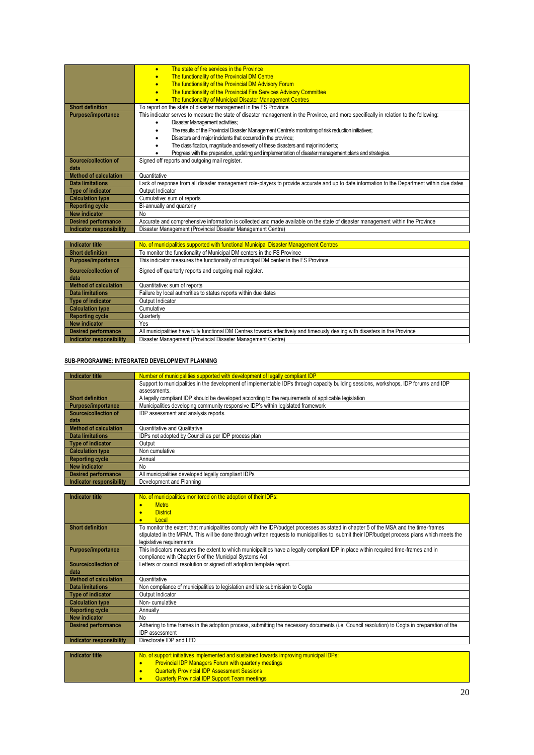|                              | The state of fire services in the Province<br>$\bullet$                                                                                      |
|------------------------------|----------------------------------------------------------------------------------------------------------------------------------------------|
|                              | The functionality of the Provincial DM Centre<br>$\bullet$                                                                                   |
|                              | The functionality of the Provincial DM Advisory Forum<br>$\bullet$                                                                           |
|                              | The functionality of the Provincial Fire Services Advisory Committee<br>$\bullet$                                                            |
|                              | The functionality of Municipal Disaster Management Centres<br>$\bullet$                                                                      |
| <b>Short definition</b>      | To report on the state of disaster management in the FS Province                                                                             |
| <b>Purpose/importance</b>    | This indicator serves to measure the state of disaster management in the Province, and more specifically in relation to the following:       |
|                              | <b>Disaster Management activities:</b><br>٠                                                                                                  |
|                              | The results of the Provincial Disaster Management Centre's monitoring of risk reduction initiatives;<br>٠                                    |
|                              | Disasters and major incidents that occurred in the province;<br>٠                                                                            |
|                              | The classification, magnitude and severity of these disasters and major incidents;                                                           |
|                              | Progress with the preparation, updating and implementation of disaster management plans and strategies.                                      |
| Source/collection of         | Signed off reports and outgoing mail register.                                                                                               |
| data                         |                                                                                                                                              |
| <b>Method of calculation</b> | Quantitative                                                                                                                                 |
| <b>Data limitations</b>      | Lack of response from all disaster management role-players to provide accurate and up to date information to the Department within due dates |
| <b>Type of indicator</b>     | Output Indicator                                                                                                                             |
| <b>Calculation type</b>      | Cumulative: sum of reports                                                                                                                   |
| <b>Reporting cycle</b>       | Bi-annually and quarterly                                                                                                                    |
| <b>New indicator</b>         | No                                                                                                                                           |
| <b>Desired performance</b>   | Accurate and comprehensive information is collected and made available on the state of disaster management within the Province               |
| Indicator responsibility     | Disaster Management (Provincial Disaster Management Centre)                                                                                  |
|                              |                                                                                                                                              |
| <b>Indicator title</b>       | No. of municipalities supported with functional Municipal Disaster Management Centres                                                        |
| <b>Short definition</b>      | To monitor the functionality of Municipal DM centers in the FS Province                                                                      |
| <b>Purpose/importance</b>    | This indicator measures the functionality of municipal DM center in the FS Province.                                                         |
| Source/collection of         | Signed off quarterly reports and outgoing mail register.                                                                                     |
| data                         |                                                                                                                                              |
| <b>Method of calculation</b> | Quantitative: sum of reports                                                                                                                 |
| <b>Data limitations</b>      | Failure by local authorities to status reports within due dates                                                                              |
| <b>Type of indicator</b>     | Output Indicator                                                                                                                             |
| <b>Calculation type</b>      | Cumulative                                                                                                                                   |
| <b>Reporting cycle</b>       | Quarterly                                                                                                                                    |
| <b>New indicator</b>         | Yes                                                                                                                                          |

#### **SUB-PROGRAMME: INTEGRATED DEVELOPMENT PLANNING**

**Indicator responsibility | Disaster Management (Provincial Disaster Management Centre)** 

| Indicator title            | Number of municipalities supported with development of legally compliant IDP                                                         |
|----------------------------|--------------------------------------------------------------------------------------------------------------------------------------|
|                            | Support to municipalities in the development of implementable IDPs through capacity building sessions, workshops, IDP forums and IDP |
|                            | assessments.                                                                                                                         |
| <b>Short definition</b>    | A legally compliant IDP should be developed according to the requirements of applicable legislation                                  |
| Purpose/importance         | Municipalities developing community responsive IDP's within legislated framework                                                     |
| Source/collection of       | IDP assessment and analysis reports.                                                                                                 |
| data                       |                                                                                                                                      |
| Method of calculation      | Quantitative and Qualitative                                                                                                         |
| Data limitations           | IDPs not adopted by Council as per IDP process plan                                                                                  |
| Type of indicator          | Output                                                                                                                               |
| <b>Calculation type</b>    | Non cumulative                                                                                                                       |
| <b>Reporting cycle</b>     | Annual                                                                                                                               |
| New indicator              | No                                                                                                                                   |
| <b>Desired performance</b> | All municipalities developed legally compliant IDPs                                                                                  |
| Indicator responsibility   | Development and Planning                                                                                                             |
|                            |                                                                                                                                      |

Desired performance **All municipalities have fully functional DM** Centres towards effectively and timeously dealing with disasters in the Province

| <b>Indicator title</b>          | No. of municipalities monitored on the adoption of their IDPs:                                                                                                                                                                                                                                                    |
|---------------------------------|-------------------------------------------------------------------------------------------------------------------------------------------------------------------------------------------------------------------------------------------------------------------------------------------------------------------|
|                                 | <b>Metro</b><br>$\bullet$                                                                                                                                                                                                                                                                                         |
|                                 | <b>District</b><br>$\bullet$                                                                                                                                                                                                                                                                                      |
|                                 | Local<br>$\bullet$                                                                                                                                                                                                                                                                                                |
| <b>Short definition</b>         | To monitor the extent that municipalities comply with the IDP/budget processes as stated in chapter 5 of the MSA and the time-frames<br>stipulated in the MFMA. This will be done through written requests to municipalities to submit their IDP/budget process plans which meets the<br>legislative requirements |
| <b>Purpose/importance</b>       | This indicators measures the extent to which municipalities have a legally compliant IDP in place within required time-frames and in<br>compliance with Chapter 5 of the Municipal Systems Act                                                                                                                    |
| Source/collection of<br>data    | Letters or council resolution or signed off adoption template report.                                                                                                                                                                                                                                             |
| <b>Method of calculation</b>    | Quantitative                                                                                                                                                                                                                                                                                                      |
| <b>Data limitations</b>         | Non compliance of municipalities to legislation and late submission to Cogta                                                                                                                                                                                                                                      |
| <b>Type of indicator</b>        | Output Indicator                                                                                                                                                                                                                                                                                                  |
| <b>Calculation type</b>         | Non-cumulative                                                                                                                                                                                                                                                                                                    |
| <b>Reporting cycle</b>          | Annually                                                                                                                                                                                                                                                                                                          |
| <b>New indicator</b>            | No                                                                                                                                                                                                                                                                                                                |
| <b>Desired performance</b>      | Adhering to time frames in the adoption process, submitting the necessary documents (i.e. Council resolution) to Cogta in preparation of the<br>IDP assessment                                                                                                                                                    |
| <b>Indicator responsibility</b> | Directorate IDP and LED                                                                                                                                                                                                                                                                                           |
|                                 |                                                                                                                                                                                                                                                                                                                   |
| <b>Indicator title</b>          | No. of support initiatives implemented and sustained towards improving municipal IDPs:                                                                                                                                                                                                                            |
|                                 | <b>Provincial IDP Managers Forum with quarterly meetings</b><br>$\bullet$                                                                                                                                                                                                                                         |
|                                 | <b>Quarterly Provincial IDP Assessment Sessions</b><br>$\bullet$                                                                                                                                                                                                                                                  |
|                                 | <b>Quarterly Provincial IDP Support Team meetings</b><br>$\bullet$                                                                                                                                                                                                                                                |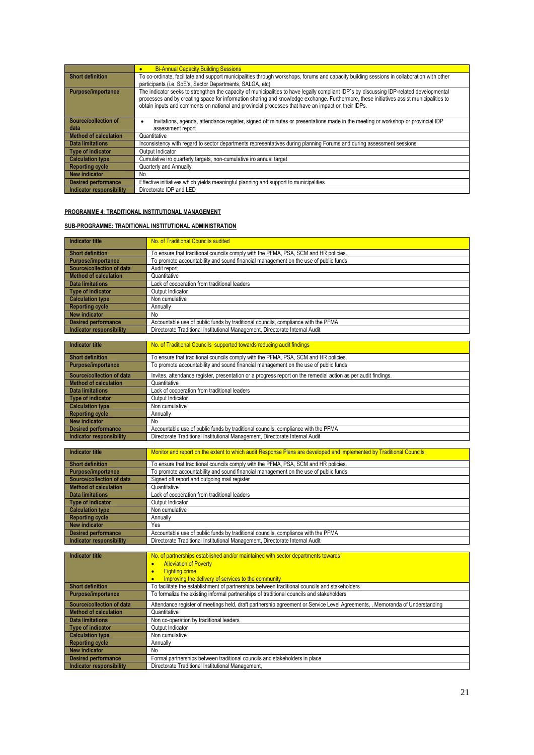|                              | <b>Bi-Annual Capacity Building Sessions</b>                                                                                                |
|------------------------------|--------------------------------------------------------------------------------------------------------------------------------------------|
| <b>Short definition</b>      | To co-ordinate, facilitate and support municipalities through workshops, forums and capacity building sessions in collaboration with other |
|                              | participants (i.e. SoE's, Sector Departments, SALGA, etc)                                                                                  |
| Purpose/importance           | The indicator seeks to strengthen the capacity of municipalities to have legally compliant IDP's by discussing IDP-related developmental   |
|                              | processes and by creating space for information sharing and knowledge exchange. Furthermore, these initiatives assist municipalities to    |
|                              | obtain inputs and comments on national and provincial processes that have an impact on their IDPs.                                         |
|                              |                                                                                                                                            |
| Source/collection of         | Invitations, agenda, attendance register, signed off minutes or presentations made in the meeting or workshop or provincial IDP            |
| data                         | assessment report                                                                                                                          |
| <b>Method of calculation</b> | Quantitative                                                                                                                               |
| Data limitations             | Inconsistency with regard to sector departments representatives during planning Forums and during assessment sessions                      |
| Type of indicator            | Output Indicator                                                                                                                           |
| <b>Calculation type</b>      | Cumulative iro quarterly targets, non-cumulative iro annual target                                                                         |
| <b>Reporting cycle</b>       | Quarterly and Annually                                                                                                                     |
| New indicator                | No.                                                                                                                                        |
| <b>Desired performance</b>   | Effective initiatives which yields meaningful planning and support to municipalities                                                       |
| Indicator responsibility     | Directorate IDP and LED                                                                                                                    |

#### **PROGRAMME 4: TRADITIONAL INSTITUTIONAL MANAGEMENT**

#### **SUB-PROGRAMME: TRADITIONAL INSTITUTIONAL ADMINISTRATION**

| Indicator title            | No. of Traditional Councils audited                                                 |
|----------------------------|-------------------------------------------------------------------------------------|
| Short definition           | To ensure that traditional councils comply with the PFMA, PSA, SCM and HR policies. |
| Purpose/importance         | To promote accountability and sound financial management on the use of public funds |
| Source/collection of data  | Audit report                                                                        |
| Method of calculation      | Quantitative                                                                        |
| <b>Data limitations</b>    | Lack of cooperation from traditional leaders                                        |
| Type of indicator          | Output Indicator                                                                    |
| Calculation type           | Non cumulative                                                                      |
| Reporting cycle            | Annually                                                                            |
| New indicator              | No                                                                                  |
| <b>Desired performance</b> | Accountable use of public funds by traditional councils, compliance with the PFMA   |
| Indicator responsibility   | Directorate Traditional Institutional Management, Directorate Internal Audit        |

| <b>Indicator title</b>          | No. of Traditional Councils supported towards reducing audit findings                                         |
|---------------------------------|---------------------------------------------------------------------------------------------------------------|
| <b>Short definition</b>         | To ensure that traditional councils comply with the PFMA, PSA, SCM and HR policies.                           |
| Purpose/importance              | To promote accountability and sound financial management on the use of public funds                           |
| Source/collection of data       | Invites, attendance register, presentation or a progress report on the remedial action as per audit findings. |
| <b>Method of calculation</b>    | Quantitative                                                                                                  |
| <b>Data limitations</b>         | Lack of cooperation from traditional leaders                                                                  |
| <b>Type of indicator</b>        | Output Indicator                                                                                              |
| <b>Calculation type</b>         | Non cumulative                                                                                                |
| <b>Reporting cycle</b>          | Annually                                                                                                      |
| New indicator                   | No                                                                                                            |
| <b>Desired performance</b>      | Accountable use of public funds by traditional councils, compliance with the PFMA                             |
| <b>Indicator responsibility</b> | Directorate Traditional Institutional Management, Directorate Internal Audit                                  |

| Indicator title              | Monitor and report on the extent to which audit Response Plans are developed and implemented by Traditional Councils |
|------------------------------|----------------------------------------------------------------------------------------------------------------------|
| <b>Short definition</b>      | To ensure that traditional councils comply with the PFMA, PSA, SCM and HR policies.                                  |
| <b>Purpose/importance</b>    | To promote accountability and sound financial management on the use of public funds                                  |
| Source/collection of data    | Signed off report and outgoing mail register                                                                         |
| <b>Method of calculation</b> | Quantitative                                                                                                         |
| Data limitations             | Lack of cooperation from traditional leaders                                                                         |
| <b>Type of indicator</b>     | Output Indicator                                                                                                     |
| <b>Calculation type</b>      | Non cumulative                                                                                                       |
| <b>Reporting cycle</b>       | Annually                                                                                                             |
| New indicator                | Yes                                                                                                                  |
| <b>Desired performance</b>   | Accountable use of public funds by traditional councils, compliance with the PFMA                                    |
| Indicator responsibility     | Directorate Traditional Institutional Management, Directorate Internal Audit                                         |

| <b>Indicator title</b>          | No. of partnerships established and/or maintained with sector departments towards:                                          |
|---------------------------------|-----------------------------------------------------------------------------------------------------------------------------|
|                                 | <b>Alleviation of Poverty</b><br>ō                                                                                          |
|                                 | <b>Fighting crime</b><br>$\bullet$                                                                                          |
|                                 | Improving the delivery of services to the community<br>$\bullet$                                                            |
| <b>Short definition</b>         | To facilitate the establishment of partnerships between traditional councils and stakeholders                               |
| <b>Purpose/importance</b>       | To formalize the existing informal partnerships of traditional councils and stakeholders                                    |
| Source/collection of data       | Attendance register of meetings held, draft partnership agreement or Service Level Agreements, , Memoranda of Understanding |
| <b>Method of calculation</b>    | Quantitative                                                                                                                |
| <b>Data limitations</b>         | Non co-operation by traditional leaders                                                                                     |
| <b>Type of indicator</b>        | Output Indicator                                                                                                            |
| <b>Calculation type</b>         | Non cumulative                                                                                                              |
| <b>Reporting cycle</b>          | Annually                                                                                                                    |
| <b>New indicator</b>            | No                                                                                                                          |
| <b>Desired performance</b>      | Formal partnerships between traditional councils and stakeholders in place                                                  |
| <b>Indicator responsibility</b> | Directorate Traditional Institutional Management,                                                                           |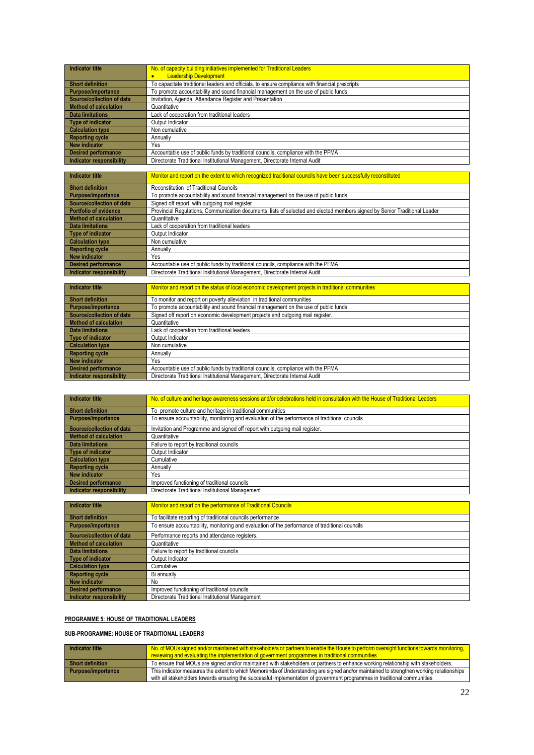| Indicator title           | No. of capacity building initiatives implemented for Traditional Leaders                        |
|---------------------------|-------------------------------------------------------------------------------------------------|
|                           | <b>Leadership Development</b>                                                                   |
| <b>Short definition</b>   | To capacitate traditional leaders and officials, to ensure compliance with financial prescripts |
| Purpose/importance        | To promote accountability and sound financial management on the use of public funds             |
| Source/collection of data | Invitation, Agenda, Attendance Register and Presentation                                        |
| Method of calculation     | Quantitative                                                                                    |
| <b>Data limitations</b>   | Lack of cooperation from traditional leaders                                                    |
| Type of indicator         | Output Indicator                                                                                |
| Calculation type          | Non cumulative                                                                                  |
| <b>Reporting cycle</b>    | Annually                                                                                        |
| New indicator             | Yes                                                                                             |
| Desired performance       | Accountable use of public funds by traditional councils, compliance with the PFMA               |
| Indicator responsibility  | Directorate Traditional Institutional Management, Directorate Internal Audit                    |

| <b>Indicator title</b>          | Monitor and report on the extent to which recognized traditional councils have been successfully reconstituted             |
|---------------------------------|----------------------------------------------------------------------------------------------------------------------------|
| <b>Short definition</b>         | Reconstitution of Traditional Councils                                                                                     |
| Purpose/importance              | To promote accountability and sound financial management on the use of public funds                                        |
| Source/collection of data       | Signed off report with outgoing mail register                                                                              |
| <b>Portfolio of evidence</b>    | Provincial Requlations, Communication documents, lists of selected and elected members signed by Senior Traditional Leader |
| <b>Method of calculation</b>    | Quantitative                                                                                                               |
| <b>Data limitations</b>         | Lack of cooperation from traditional leaders                                                                               |
| <b>Type of indicator</b>        | Output Indicator                                                                                                           |
| <b>Calculation type</b>         | Non cumulative                                                                                                             |
| <b>Reporting cycle</b>          | Annually                                                                                                                   |
| <b>New indicator</b>            | Yes                                                                                                                        |
| <b>Desired performance</b>      | Accountable use of public funds by traditional councils, compliance with the PFMA                                          |
| <b>Indicator responsibility</b> | Directorate Traditional Institutional Management, Directorate Internal Audit                                               |

| Indicator title                 | Monitor and report on the status of local economic development projects in traditional communities |
|---------------------------------|----------------------------------------------------------------------------------------------------|
| <b>Short definition</b>         | To monitor and report on poverty alleviation in traditional communities                            |
| Purpose/importance              | To promote accountability and sound financial management on the use of public funds                |
| Source/collection of data       | Signed off report on economic development projects and outgoing mail register.                     |
| <b>Method of calculation</b>    | Quantitative                                                                                       |
| <b>Data limitations</b>         | Lack of cooperation from traditional leaders                                                       |
| <b>Type of indicator</b>        | Output Indicator                                                                                   |
| <b>Calculation type</b>         | Non cumulative                                                                                     |
| <b>Reporting cycle</b>          | Annually                                                                                           |
| New indicator                   | Yes                                                                                                |
| <b>Desired performance</b>      | Accountable use of public funds by traditional councils, compliance with the PFMA                  |
| <b>Indicator responsibility</b> | Directorate Traditional Institutional Management, Directorate Internal Audit                       |

| Indicator title           | No. of culture and heritage awareness sessions and/or celebrations held in consultation with the House of Traditional Leaders |
|---------------------------|-------------------------------------------------------------------------------------------------------------------------------|
| Short definition          | To promote culture and heritage in traditional communities                                                                    |
| Purpose/importance        | To ensure accountability, monitoring and evaluation of the performance of traditional councils                                |
| Source/collection of data | Invitation and Programme and signed off report with outgoing mail register.                                                   |
| Method of calculation     | Quantitative                                                                                                                  |
| <b>Data limitations</b>   | Failure to report by traditional councils                                                                                     |
| Type of indicator         | Output Indicator                                                                                                              |
| <b>Calculation type</b>   | Cumulative                                                                                                                    |
| Reporting cycle           | Annually                                                                                                                      |
| New indicator             | Yes                                                                                                                           |
| Desired performance       | Improved functioning of traditional councils                                                                                  |
| Indicator responsibility  | Directorate Traditional Institutional Management                                                                              |

| <b>Indicator title</b>       | Monitor and report on the performance of Traditional Councils                                  |
|------------------------------|------------------------------------------------------------------------------------------------|
| <b>Short definition</b>      |                                                                                                |
|                              | To facilitate reporting of traditional councils performance                                    |
| Purpose/importance           | To ensure accountability, monitoring and evaluation of the performance of traditional councils |
| Source/collection of data    | Performance reports and attendance registers.                                                  |
| <b>Method of calculation</b> | Quantitative                                                                                   |
| <b>Data limitations</b>      | Failure to report by traditional councils                                                      |
| <b>Type of indicator</b>     | Output Indicator                                                                               |
| <b>Calculation type</b>      | Cumulative                                                                                     |
| <b>Reporting cycle</b>       | Bi annually                                                                                    |
| New indicator                | No                                                                                             |
| <b>Desired performance</b>   | Improved functioning of traditional councils                                                   |
| Indicator responsibility     | Directorate Traditional Institutional Management                                               |

#### **PROGRAMME 5: HOUSE OF TRADITIONAL LEADERS**

#### **SUB-PROGRAMME: HOUSE OF TRADITIONAL LEADER***S*

| Indicator title    | No. of MOUs signed and/or maintained with stakeholders or partners to enable the House to perform oversight functions towards monitoring,<br>reviewing and evaluating the implementation of government programmes in traditional communities                        |
|--------------------|---------------------------------------------------------------------------------------------------------------------------------------------------------------------------------------------------------------------------------------------------------------------|
| Short definition   | To ensure that MOUs are signed and/or maintained with stakeholders or partners to enhance working relationship with stakeholders.                                                                                                                                   |
| Purpose/importance | This indicator measures the extent to which Memoranda of Understanding are signed and/or maintained to strengthen working relationships<br>with all stakeholders towards ensuring the successful implementation of government programmes in traditional communities |